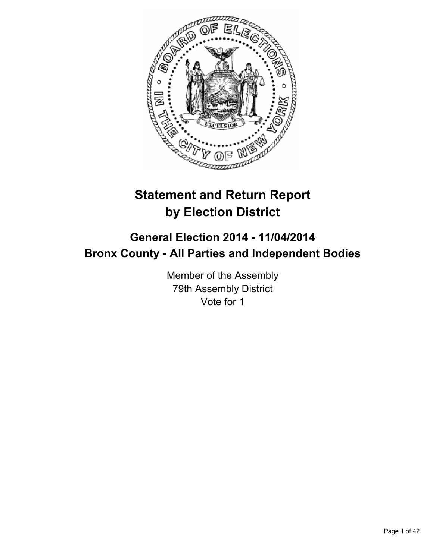

# **Statement and Return Report by Election District**

## **General Election 2014 - 11/04/2014 Bronx County - All Parties and Independent Bodies**

Member of the Assembly 79th Assembly District Vote for 1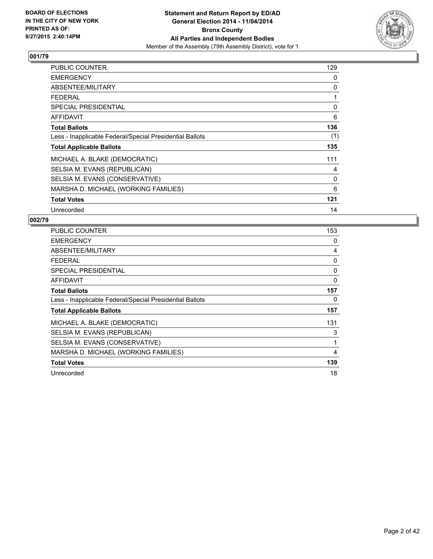

| PUBLIC COUNTER                                           | 129 |
|----------------------------------------------------------|-----|
| <b>EMERGENCY</b>                                         | 0   |
| ABSENTEE/MILITARY                                        | 0   |
| <b>FEDERAL</b>                                           | 1   |
| <b>SPECIAL PRESIDENTIAL</b>                              | 0   |
| <b>AFFIDAVIT</b>                                         | 6   |
| <b>Total Ballots</b>                                     | 136 |
| Less - Inapplicable Federal/Special Presidential Ballots | (1) |
| <b>Total Applicable Ballots</b>                          | 135 |
| MICHAEL A. BLAKE (DEMOCRATIC)                            | 111 |
| SELSIA M. EVANS (REPUBLICAN)                             | 4   |
| SELSIA M. EVANS (CONSERVATIVE)                           | 0   |
| MARSHA D. MICHAEL (WORKING FAMILIES)                     | 6   |
| <b>Total Votes</b>                                       | 121 |
| Unrecorded                                               | 14  |

| PUBLIC COUNTER                                           | 153 |
|----------------------------------------------------------|-----|
| <b>EMERGENCY</b>                                         | 0   |
| ABSENTEE/MILITARY                                        | 4   |
| <b>FEDERAL</b>                                           | 0   |
| <b>SPECIAL PRESIDENTIAL</b>                              | 0   |
| AFFIDAVIT                                                | 0   |
| <b>Total Ballots</b>                                     | 157 |
| Less - Inapplicable Federal/Special Presidential Ballots | 0   |
| <b>Total Applicable Ballots</b>                          | 157 |
| MICHAEL A. BLAKE (DEMOCRATIC)                            | 131 |
| SELSIA M. EVANS (REPUBLICAN)                             | 3   |
| SELSIA M. EVANS (CONSERVATIVE)                           | 1   |
| MARSHA D. MICHAEL (WORKING FAMILIES)                     | 4   |
| <b>Total Votes</b>                                       | 139 |
| Unrecorded                                               | 18  |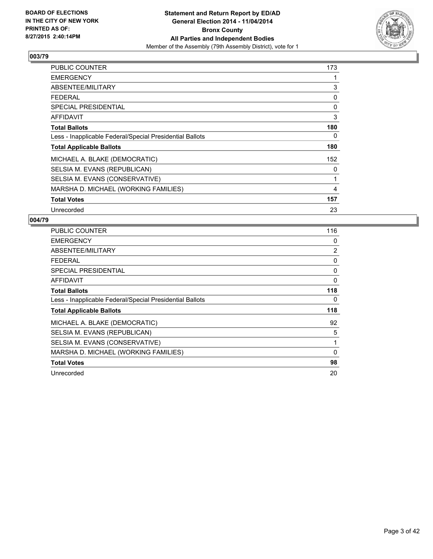

| PUBLIC COUNTER                                           | 173 |
|----------------------------------------------------------|-----|
| <b>EMERGENCY</b>                                         |     |
| ABSENTEE/MILITARY                                        | 3   |
| FEDERAL                                                  | 0   |
| <b>SPECIAL PRESIDENTIAL</b>                              | 0   |
| <b>AFFIDAVIT</b>                                         | 3   |
| <b>Total Ballots</b>                                     | 180 |
| Less - Inapplicable Federal/Special Presidential Ballots | 0   |
| <b>Total Applicable Ballots</b>                          | 180 |
| MICHAEL A. BLAKE (DEMOCRATIC)                            | 152 |
| SELSIA M. EVANS (REPUBLICAN)                             | 0   |
| SELSIA M. EVANS (CONSERVATIVE)                           | 1   |
| MARSHA D. MICHAEL (WORKING FAMILIES)                     | 4   |
| <b>Total Votes</b>                                       | 157 |
| Unrecorded                                               | 23  |

| PUBLIC COUNTER                                           | 116      |
|----------------------------------------------------------|----------|
| <b>EMERGENCY</b>                                         | 0        |
| ABSENTEE/MILITARY                                        | 2        |
| <b>FEDERAL</b>                                           | 0        |
| <b>SPECIAL PRESIDENTIAL</b>                              | 0        |
| AFFIDAVIT                                                | 0        |
| <b>Total Ballots</b>                                     | 118      |
| Less - Inapplicable Federal/Special Presidential Ballots | 0        |
| <b>Total Applicable Ballots</b>                          | 118      |
| MICHAEL A. BLAKE (DEMOCRATIC)                            | 92       |
| SELSIA M. EVANS (REPUBLICAN)                             | 5        |
| SELSIA M. EVANS (CONSERVATIVE)                           | 1        |
| MARSHA D. MICHAEL (WORKING FAMILIES)                     | $\Omega$ |
| <b>Total Votes</b>                                       | 98       |
| Unrecorded                                               | 20       |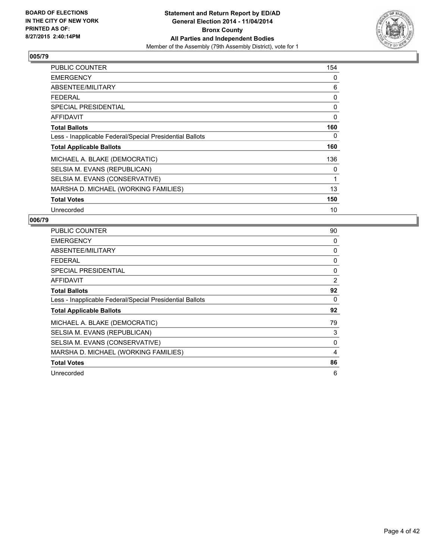

| <b>PUBLIC COUNTER</b>                                    | 154 |
|----------------------------------------------------------|-----|
| <b>EMERGENCY</b>                                         | 0   |
| ABSENTEE/MILITARY                                        | 6   |
| <b>FEDERAL</b>                                           | 0   |
| <b>SPECIAL PRESIDENTIAL</b>                              | 0   |
| <b>AFFIDAVIT</b>                                         | 0   |
| <b>Total Ballots</b>                                     | 160 |
| Less - Inapplicable Federal/Special Presidential Ballots | 0   |
| <b>Total Applicable Ballots</b>                          | 160 |
| MICHAEL A. BLAKE (DEMOCRATIC)                            | 136 |
| SELSIA M. EVANS (REPUBLICAN)                             | 0   |
| SELSIA M. EVANS (CONSERVATIVE)                           | 1   |
| MARSHA D. MICHAEL (WORKING FAMILIES)                     | 13  |
| <b>Total Votes</b>                                       | 150 |
| Unrecorded                                               | 10  |

| <b>PUBLIC COUNTER</b>                                    | 90 |
|----------------------------------------------------------|----|
| <b>EMERGENCY</b>                                         | 0  |
| ABSENTEE/MILITARY                                        | 0  |
| <b>FEDERAL</b>                                           | 0  |
| SPECIAL PRESIDENTIAL                                     | 0  |
| AFFIDAVIT                                                | 2  |
| <b>Total Ballots</b>                                     | 92 |
| Less - Inapplicable Federal/Special Presidential Ballots | 0  |
| <b>Total Applicable Ballots</b>                          | 92 |
| MICHAEL A. BLAKE (DEMOCRATIC)                            | 79 |
| SELSIA M. EVANS (REPUBLICAN)                             | 3  |
| SELSIA M. EVANS (CONSERVATIVE)                           | 0  |
| MARSHA D. MICHAEL (WORKING FAMILIES)                     | 4  |
| <b>Total Votes</b>                                       | 86 |
| Unrecorded                                               | 6  |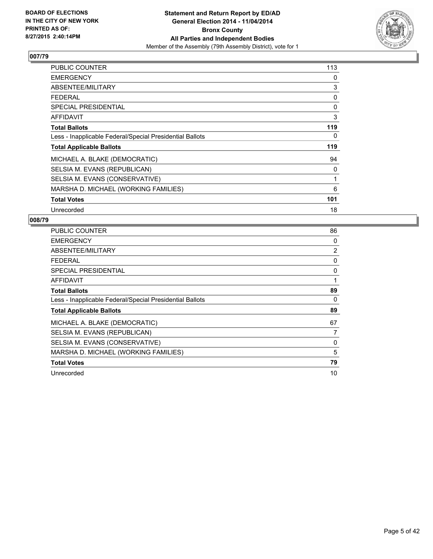

| <b>PUBLIC COUNTER</b>                                    | 113 |
|----------------------------------------------------------|-----|
| <b>EMERGENCY</b>                                         | 0   |
| ABSENTEE/MILITARY                                        | 3   |
| FEDERAL                                                  | 0   |
| <b>SPECIAL PRESIDENTIAL</b>                              | 0   |
| AFFIDAVIT                                                | 3   |
| <b>Total Ballots</b>                                     | 119 |
| Less - Inapplicable Federal/Special Presidential Ballots | 0   |
| <b>Total Applicable Ballots</b>                          | 119 |
| MICHAEL A. BLAKE (DEMOCRATIC)                            | 94  |
| SELSIA M. EVANS (REPUBLICAN)                             | 0   |
| SELSIA M. EVANS (CONSERVATIVE)                           | 1   |
| MARSHA D. MICHAEL (WORKING FAMILIES)                     | 6   |
| <b>Total Votes</b>                                       | 101 |
| Unrecorded                                               | 18  |

| <b>PUBLIC COUNTER</b>                                    | 86 |
|----------------------------------------------------------|----|
| <b>EMERGENCY</b>                                         | 0  |
| ABSENTEE/MILITARY                                        | 2  |
| <b>FEDERAL</b>                                           | 0  |
| <b>SPECIAL PRESIDENTIAL</b>                              | 0  |
| AFFIDAVIT                                                | 1  |
| <b>Total Ballots</b>                                     | 89 |
| Less - Inapplicable Federal/Special Presidential Ballots | 0  |
| <b>Total Applicable Ballots</b>                          | 89 |
| MICHAEL A. BLAKE (DEMOCRATIC)                            | 67 |
| SELSIA M. EVANS (REPUBLICAN)                             | 7  |
| SELSIA M. EVANS (CONSERVATIVE)                           | 0  |
| MARSHA D. MICHAEL (WORKING FAMILIES)                     | 5  |
| <b>Total Votes</b>                                       | 79 |
| Unrecorded                                               | 10 |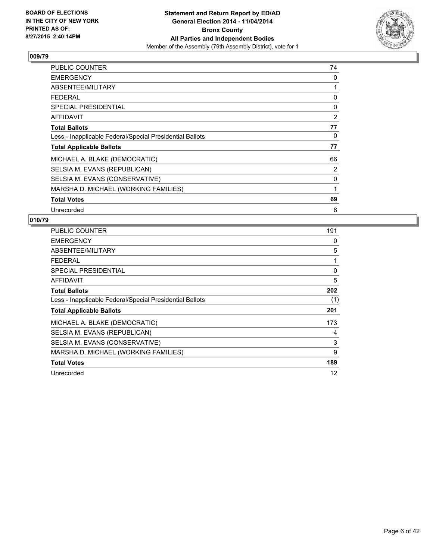

| PUBLIC COUNTER                                           | 74 |
|----------------------------------------------------------|----|
| <b>EMERGENCY</b>                                         | 0  |
| ABSENTEE/MILITARY                                        | 1  |
| FEDERAL                                                  | 0  |
| <b>SPECIAL PRESIDENTIAL</b>                              | 0  |
| <b>AFFIDAVIT</b>                                         | 2  |
| <b>Total Ballots</b>                                     | 77 |
| Less - Inapplicable Federal/Special Presidential Ballots | 0  |
| <b>Total Applicable Ballots</b>                          | 77 |
| MICHAEL A. BLAKE (DEMOCRATIC)                            | 66 |
| SELSIA M. EVANS (REPUBLICAN)                             | 2  |
| SELSIA M. EVANS (CONSERVATIVE)                           | 0  |
| MARSHA D. MICHAEL (WORKING FAMILIES)                     | 1  |
| <b>Total Votes</b>                                       | 69 |
| Unrecorded                                               | 8  |

| <b>PUBLIC COUNTER</b>                                    | 191 |
|----------------------------------------------------------|-----|
| <b>EMERGENCY</b>                                         | 0   |
| ABSENTEE/MILITARY                                        | 5   |
| <b>FEDERAL</b>                                           | 1   |
| <b>SPECIAL PRESIDENTIAL</b>                              | 0   |
| AFFIDAVIT                                                | 5   |
| <b>Total Ballots</b>                                     | 202 |
| Less - Inapplicable Federal/Special Presidential Ballots | (1) |
| <b>Total Applicable Ballots</b>                          | 201 |
| MICHAEL A. BLAKE (DEMOCRATIC)                            | 173 |
| SELSIA M. EVANS (REPUBLICAN)                             | 4   |
| SELSIA M. EVANS (CONSERVATIVE)                           | 3   |
| MARSHA D. MICHAEL (WORKING FAMILIES)                     | 9   |
| <b>Total Votes</b>                                       | 189 |
| Unrecorded                                               | 12  |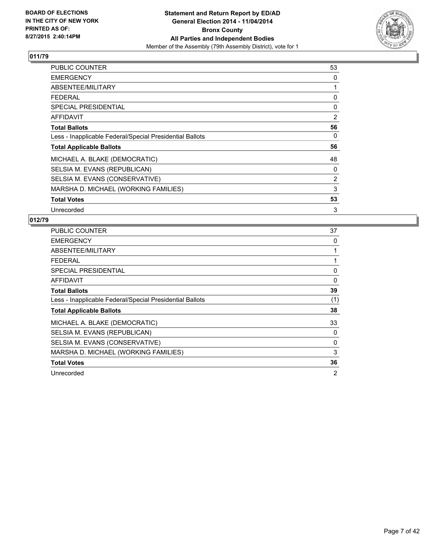

| <b>PUBLIC COUNTER</b>                                    | 53 |
|----------------------------------------------------------|----|
| <b>EMERGENCY</b>                                         | 0  |
| ABSENTEE/MILITARY                                        | 1  |
| <b>FEDERAL</b>                                           | 0  |
| <b>SPECIAL PRESIDENTIAL</b>                              | 0  |
| <b>AFFIDAVIT</b>                                         | 2  |
| <b>Total Ballots</b>                                     | 56 |
| Less - Inapplicable Federal/Special Presidential Ballots | 0  |
| <b>Total Applicable Ballots</b>                          | 56 |
| MICHAEL A. BLAKE (DEMOCRATIC)                            | 48 |
| SELSIA M. EVANS (REPUBLICAN)                             | 0  |
| SELSIA M. EVANS (CONSERVATIVE)                           | 2  |
| MARSHA D. MICHAEL (WORKING FAMILIES)                     | 3  |
| <b>Total Votes</b>                                       | 53 |
| Unrecorded                                               | 3  |

| <b>PUBLIC COUNTER</b>                                    | 37  |
|----------------------------------------------------------|-----|
| <b>EMERGENCY</b>                                         | 0   |
| ABSENTEE/MILITARY                                        |     |
| <b>FEDERAL</b>                                           |     |
| <b>SPECIAL PRESIDENTIAL</b>                              | 0   |
| AFFIDAVIT                                                | 0   |
| <b>Total Ballots</b>                                     | 39  |
| Less - Inapplicable Federal/Special Presidential Ballots | (1) |
| <b>Total Applicable Ballots</b>                          | 38  |
| MICHAEL A. BLAKE (DEMOCRATIC)                            | 33  |
| SELSIA M. EVANS (REPUBLICAN)                             | 0   |
| SELSIA M. EVANS (CONSERVATIVE)                           | 0   |
| MARSHA D. MICHAEL (WORKING FAMILIES)                     | 3   |
| <b>Total Votes</b>                                       | 36  |
| Unrecorded                                               | 2   |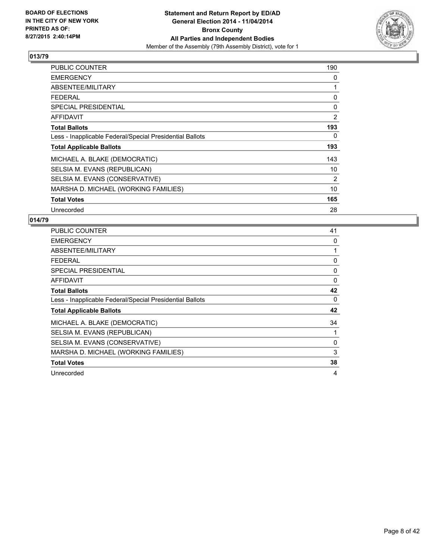

| PUBLIC COUNTER                                           | 190 |
|----------------------------------------------------------|-----|
| <b>EMERGENCY</b>                                         | 0   |
| ABSENTEE/MILITARY                                        | 1   |
| <b>FEDERAL</b>                                           | 0   |
| <b>SPECIAL PRESIDENTIAL</b>                              | 0   |
| <b>AFFIDAVIT</b>                                         | 2   |
| <b>Total Ballots</b>                                     | 193 |
| Less - Inapplicable Federal/Special Presidential Ballots | 0   |
| <b>Total Applicable Ballots</b>                          | 193 |
| MICHAEL A. BLAKE (DEMOCRATIC)                            | 143 |
| SELSIA M. EVANS (REPUBLICAN)                             | 10  |
| SELSIA M. EVANS (CONSERVATIVE)                           | 2   |
| MARSHA D. MICHAEL (WORKING FAMILIES)                     | 10  |
| <b>Total Votes</b>                                       | 165 |
| Unrecorded                                               | 28  |

| <b>PUBLIC COUNTER</b>                                    | 41 |
|----------------------------------------------------------|----|
| <b>EMERGENCY</b>                                         | 0  |
| ABSENTEE/MILITARY                                        |    |
| <b>FEDERAL</b>                                           | 0  |
| <b>SPECIAL PRESIDENTIAL</b>                              | 0  |
| <b>AFFIDAVIT</b>                                         | 0  |
| <b>Total Ballots</b>                                     | 42 |
| Less - Inapplicable Federal/Special Presidential Ballots | 0  |
| <b>Total Applicable Ballots</b>                          | 42 |
| MICHAEL A. BLAKE (DEMOCRATIC)                            | 34 |
| SELSIA M. EVANS (REPUBLICAN)                             |    |
| SELSIA M. EVANS (CONSERVATIVE)                           | 0  |
| MARSHA D. MICHAEL (WORKING FAMILIES)                     | 3  |
| <b>Total Votes</b>                                       | 38 |
| Unrecorded                                               | 4  |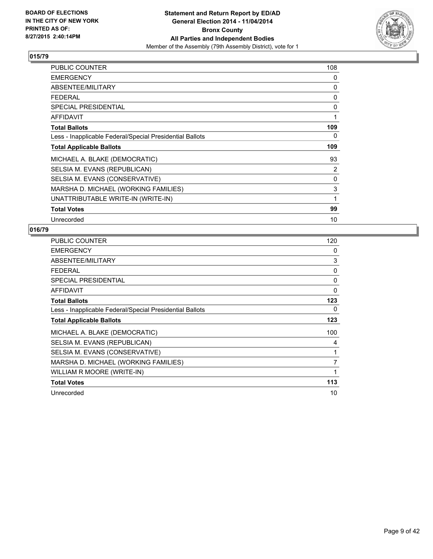

| <b>PUBLIC COUNTER</b>                                    | 108 |
|----------------------------------------------------------|-----|
| <b>EMERGENCY</b>                                         | 0   |
| ABSENTEE/MILITARY                                        | 0   |
| <b>FEDERAL</b>                                           | 0   |
| SPECIAL PRESIDENTIAL                                     | 0   |
| <b>AFFIDAVIT</b>                                         | 1   |
| <b>Total Ballots</b>                                     | 109 |
| Less - Inapplicable Federal/Special Presidential Ballots | 0   |
| <b>Total Applicable Ballots</b>                          | 109 |
| MICHAEL A. BLAKE (DEMOCRATIC)                            | 93  |
| SELSIA M. EVANS (REPUBLICAN)                             | 2   |
| SELSIA M. EVANS (CONSERVATIVE)                           | 0   |
| MARSHA D. MICHAEL (WORKING FAMILIES)                     | 3   |
| UNATTRIBUTABLE WRITE-IN (WRITE-IN)                       | 1   |
| <b>Total Votes</b>                                       | 99  |
| Unrecorded                                               | 10  |

| PUBLIC COUNTER                                           | 120      |
|----------------------------------------------------------|----------|
| <b>EMERGENCY</b>                                         | 0        |
| ABSENTEE/MILITARY                                        | 3        |
| <b>FEDERAL</b>                                           | 0        |
| <b>SPECIAL PRESIDENTIAL</b>                              | 0        |
| <b>AFFIDAVIT</b>                                         | $\Omega$ |
| <b>Total Ballots</b>                                     | 123      |
| Less - Inapplicable Federal/Special Presidential Ballots | 0        |
| <b>Total Applicable Ballots</b>                          | 123      |
| MICHAEL A. BLAKE (DEMOCRATIC)                            | 100      |
| SELSIA M. EVANS (REPUBLICAN)                             | 4        |
| SELSIA M. EVANS (CONSERVATIVE)                           | 1        |
| MARSHA D. MICHAEL (WORKING FAMILIES)                     | 7        |
| WILLIAM R MOORE (WRITE-IN)                               | 1        |
| <b>Total Votes</b>                                       | 113      |
| Unrecorded                                               | 10       |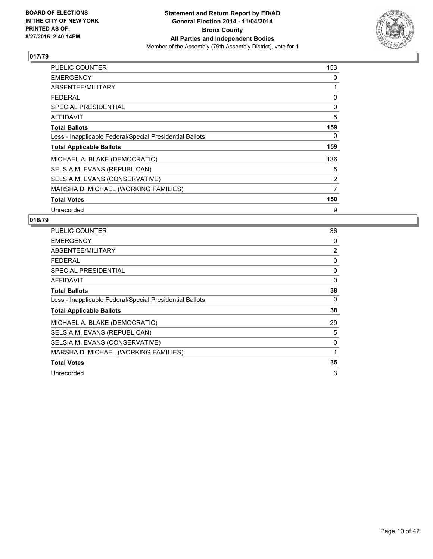

| PUBLIC COUNTER                                           | 153 |
|----------------------------------------------------------|-----|
| <b>EMERGENCY</b>                                         | 0   |
| ABSENTEE/MILITARY                                        | 1   |
| <b>FEDERAL</b>                                           | 0   |
| SPECIAL PRESIDENTIAL                                     | 0   |
| <b>AFFIDAVIT</b>                                         | 5   |
| <b>Total Ballots</b>                                     | 159 |
| Less - Inapplicable Federal/Special Presidential Ballots | 0   |
| <b>Total Applicable Ballots</b>                          | 159 |
| MICHAEL A. BLAKE (DEMOCRATIC)                            | 136 |
| SELSIA M. EVANS (REPUBLICAN)                             | 5   |
| SELSIA M. EVANS (CONSERVATIVE)                           | 2   |
| MARSHA D. MICHAEL (WORKING FAMILIES)                     | 7   |
| <b>Total Votes</b>                                       | 150 |
| Unrecorded                                               | 9   |

| <b>PUBLIC COUNTER</b>                                    | 36             |
|----------------------------------------------------------|----------------|
| <b>EMERGENCY</b>                                         | 0              |
| ABSENTEE/MILITARY                                        | $\overline{2}$ |
| <b>FEDERAL</b>                                           | 0              |
| <b>SPECIAL PRESIDENTIAL</b>                              | 0              |
| <b>AFFIDAVIT</b>                                         | 0              |
| <b>Total Ballots</b>                                     | 38             |
| Less - Inapplicable Federal/Special Presidential Ballots | 0              |
| <b>Total Applicable Ballots</b>                          | 38             |
| MICHAEL A. BLAKE (DEMOCRATIC)                            | 29             |
| SELSIA M. EVANS (REPUBLICAN)                             | 5              |
| SELSIA M. EVANS (CONSERVATIVE)                           | 0              |
| MARSHA D. MICHAEL (WORKING FAMILIES)                     |                |
| <b>Total Votes</b>                                       | 35             |
| Unrecorded                                               | 3              |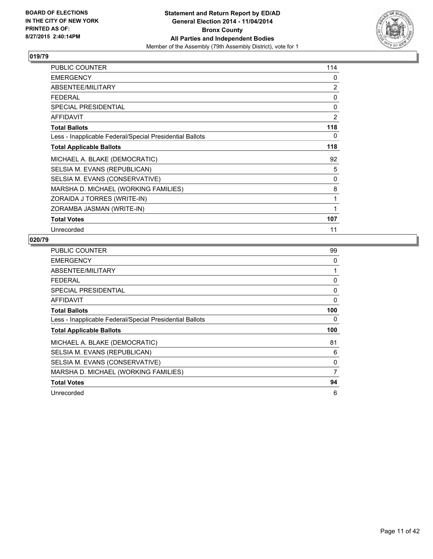

| PUBLIC COUNTER                                           | 114            |
|----------------------------------------------------------|----------------|
| <b>EMERGENCY</b>                                         | 0              |
| ABSENTEE/MILITARY                                        | $\overline{2}$ |
| <b>FEDERAL</b>                                           | 0              |
| <b>SPECIAL PRESIDENTIAL</b>                              | 0              |
| <b>AFFIDAVIT</b>                                         | $\overline{2}$ |
| <b>Total Ballots</b>                                     | 118            |
| Less - Inapplicable Federal/Special Presidential Ballots | 0              |
| <b>Total Applicable Ballots</b>                          | 118            |
| MICHAEL A. BLAKE (DEMOCRATIC)                            | 92             |
| SELSIA M. EVANS (REPUBLICAN)                             | 5              |
| SELSIA M. EVANS (CONSERVATIVE)                           | 0              |
| MARSHA D. MICHAEL (WORKING FAMILIES)                     | 8              |
| ZORAIDA J TORRES (WRITE-IN)                              | 1              |
| ZORAMBA JASMAN (WRITE-IN)                                | 1              |
| <b>Total Votes</b>                                       | 107            |
| Unrecorded                                               | 11             |

| <b>PUBLIC COUNTER</b>                                    | 99           |
|----------------------------------------------------------|--------------|
| <b>EMERGENCY</b>                                         | 0            |
| ABSENTEE/MILITARY                                        | 1            |
| <b>FEDERAL</b>                                           | 0            |
| <b>SPECIAL PRESIDENTIAL</b>                              | 0            |
| <b>AFFIDAVIT</b>                                         | $\mathbf{0}$ |
| <b>Total Ballots</b>                                     | 100          |
| Less - Inapplicable Federal/Special Presidential Ballots | 0            |
| <b>Total Applicable Ballots</b>                          | 100          |
|                                                          | 81           |
| MICHAEL A. BLAKE (DEMOCRATIC)                            |              |
| SELSIA M. EVANS (REPUBLICAN)                             | 6            |
| SELSIA M. EVANS (CONSERVATIVE)                           | 0            |
| MARSHA D. MICHAEL (WORKING FAMILIES)                     | 7            |
| <b>Total Votes</b>                                       | 94           |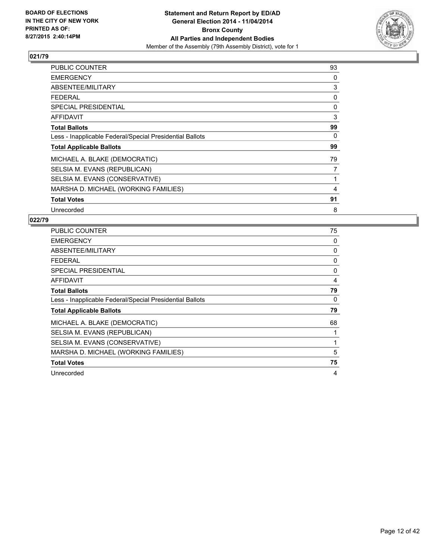

| <b>PUBLIC COUNTER</b>                                    | 93 |
|----------------------------------------------------------|----|
| <b>EMERGENCY</b>                                         | 0  |
| ABSENTEE/MILITARY                                        | 3  |
| <b>FEDERAL</b>                                           | 0  |
| <b>SPECIAL PRESIDENTIAL</b>                              | 0  |
| <b>AFFIDAVIT</b>                                         | 3  |
| <b>Total Ballots</b>                                     | 99 |
| Less - Inapplicable Federal/Special Presidential Ballots | 0  |
| <b>Total Applicable Ballots</b>                          | 99 |
| MICHAEL A. BLAKE (DEMOCRATIC)                            | 79 |
| SELSIA M. EVANS (REPUBLICAN)                             | 7  |
| SELSIA M. EVANS (CONSERVATIVE)                           | 1  |
| MARSHA D. MICHAEL (WORKING FAMILIES)                     | 4  |
| <b>Total Votes</b>                                       | 91 |
| Unrecorded                                               | 8  |

| PUBLIC COUNTER                                           | 75 |
|----------------------------------------------------------|----|
| <b>EMERGENCY</b>                                         | 0  |
| ABSENTEE/MILITARY                                        | 0  |
| <b>FEDERAL</b>                                           | 0  |
| <b>SPECIAL PRESIDENTIAL</b>                              | 0  |
| AFFIDAVIT                                                | 4  |
| <b>Total Ballots</b>                                     | 79 |
| Less - Inapplicable Federal/Special Presidential Ballots | 0  |
| <b>Total Applicable Ballots</b>                          | 79 |
| MICHAEL A. BLAKE (DEMOCRATIC)                            | 68 |
| SELSIA M. EVANS (REPUBLICAN)                             |    |
| SELSIA M. EVANS (CONSERVATIVE)                           | 1  |
| MARSHA D. MICHAEL (WORKING FAMILIES)                     | 5  |
| <b>Total Votes</b>                                       | 75 |
| Unrecorded                                               | 4  |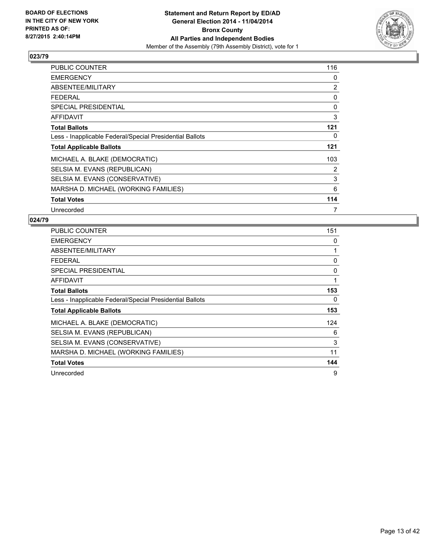

| PUBLIC COUNTER                                           | 116 |
|----------------------------------------------------------|-----|
| <b>EMERGENCY</b>                                         | 0   |
| ABSENTEE/MILITARY                                        | 2   |
| <b>FEDERAL</b>                                           | 0   |
| <b>SPECIAL PRESIDENTIAL</b>                              | 0   |
| AFFIDAVIT                                                | 3   |
| <b>Total Ballots</b>                                     | 121 |
| Less - Inapplicable Federal/Special Presidential Ballots | 0   |
| <b>Total Applicable Ballots</b>                          | 121 |
| MICHAEL A. BLAKE (DEMOCRATIC)                            | 103 |
| SELSIA M. EVANS (REPUBLICAN)                             | 2   |
| SELSIA M. EVANS (CONSERVATIVE)                           | 3   |
| MARSHA D. MICHAEL (WORKING FAMILIES)                     | 6   |
| <b>Total Votes</b>                                       | 114 |
| Unrecorded                                               | 7   |

| <b>PUBLIC COUNTER</b>                                    | 151 |
|----------------------------------------------------------|-----|
| <b>EMERGENCY</b>                                         | 0   |
| ABSENTEE/MILITARY                                        | 1   |
| <b>FEDERAL</b>                                           | 0   |
| <b>SPECIAL PRESIDENTIAL</b>                              | 0   |
| <b>AFFIDAVIT</b>                                         | 1   |
| <b>Total Ballots</b>                                     | 153 |
| Less - Inapplicable Federal/Special Presidential Ballots | 0   |
| <b>Total Applicable Ballots</b>                          | 153 |
| MICHAEL A. BLAKE (DEMOCRATIC)                            | 124 |
| SELSIA M. EVANS (REPUBLICAN)                             | 6   |
| SELSIA M. EVANS (CONSERVATIVE)                           | 3   |
| MARSHA D. MICHAEL (WORKING FAMILIES)                     | 11  |
| <b>Total Votes</b>                                       | 144 |
| Unrecorded                                               | 9   |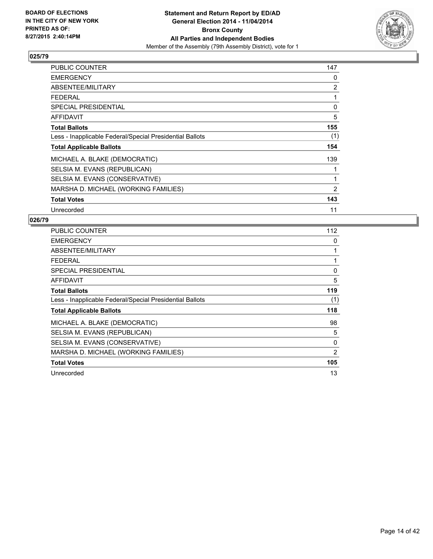

| PUBLIC COUNTER                                           | 147 |
|----------------------------------------------------------|-----|
| <b>EMERGENCY</b>                                         | 0   |
| ABSENTEE/MILITARY                                        | 2   |
| FEDERAL                                                  | 1   |
| <b>SPECIAL PRESIDENTIAL</b>                              | 0   |
| <b>AFFIDAVIT</b>                                         | 5   |
| <b>Total Ballots</b>                                     | 155 |
| Less - Inapplicable Federal/Special Presidential Ballots | (1) |
| <b>Total Applicable Ballots</b>                          | 154 |
| MICHAEL A. BLAKE (DEMOCRATIC)                            | 139 |
| SELSIA M. EVANS (REPUBLICAN)                             |     |
| SELSIA M. EVANS (CONSERVATIVE)                           | 1   |
| MARSHA D. MICHAEL (WORKING FAMILIES)                     | 2   |
| <b>Total Votes</b>                                       | 143 |
| Unrecorded                                               | 11  |

| <b>PUBLIC COUNTER</b>                                    | 112 |
|----------------------------------------------------------|-----|
| <b>EMERGENCY</b>                                         | 0   |
| ABSENTEE/MILITARY                                        | 1   |
| <b>FEDERAL</b>                                           | 1   |
| <b>SPECIAL PRESIDENTIAL</b>                              | 0   |
| <b>AFFIDAVIT</b>                                         | 5   |
| <b>Total Ballots</b>                                     | 119 |
| Less - Inapplicable Federal/Special Presidential Ballots | (1) |
| <b>Total Applicable Ballots</b>                          | 118 |
| MICHAEL A. BLAKE (DEMOCRATIC)                            | 98  |
| SELSIA M. EVANS (REPUBLICAN)                             | 5   |
| SELSIA M. EVANS (CONSERVATIVE)                           | 0   |
| MARSHA D. MICHAEL (WORKING FAMILIES)                     | 2   |
| <b>Total Votes</b>                                       | 105 |
| Unrecorded                                               | 13  |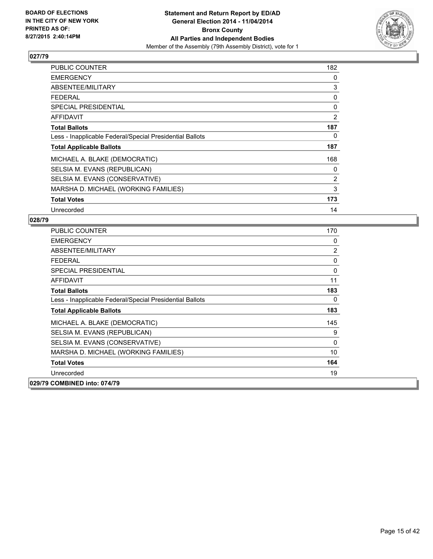

| PUBLIC COUNTER                                           | 182 |
|----------------------------------------------------------|-----|
| <b>EMERGENCY</b>                                         | 0   |
| ABSENTEE/MILITARY                                        | 3   |
| <b>FEDERAL</b>                                           | 0   |
| <b>SPECIAL PRESIDENTIAL</b>                              | 0   |
| AFFIDAVIT                                                | 2   |
| <b>Total Ballots</b>                                     | 187 |
| Less - Inapplicable Federal/Special Presidential Ballots | 0   |
| <b>Total Applicable Ballots</b>                          | 187 |
| MICHAEL A. BLAKE (DEMOCRATIC)                            | 168 |
| SELSIA M. EVANS (REPUBLICAN)                             | 0   |
| SELSIA M. EVANS (CONSERVATIVE)                           | 2   |
| MARSHA D. MICHAEL (WORKING FAMILIES)                     | 3   |
| <b>Total Votes</b>                                       | 173 |
| Unrecorded                                               | 14  |

| <b>PUBLIC COUNTER</b>                                    | 170            |
|----------------------------------------------------------|----------------|
| <b>EMERGENCY</b>                                         | 0              |
| ABSENTEE/MILITARY                                        | $\overline{2}$ |
| <b>FEDERAL</b>                                           | 0              |
| <b>SPECIAL PRESIDENTIAL</b>                              | 0              |
| <b>AFFIDAVIT</b>                                         | 11             |
| <b>Total Ballots</b>                                     | 183            |
| Less - Inapplicable Federal/Special Presidential Ballots | 0              |
| <b>Total Applicable Ballots</b>                          | 183            |
| MICHAEL A. BLAKE (DEMOCRATIC)                            | 145            |
| SELSIA M. EVANS (REPUBLICAN)                             | 9              |
| SELSIA M. EVANS (CONSERVATIVE)                           | 0              |
| MARSHA D. MICHAEL (WORKING FAMILIES)                     | 10             |
| <b>Total Votes</b>                                       | 164            |
| Unrecorded                                               | 19             |
| 029/79 COMBINED into: 074/79                             |                |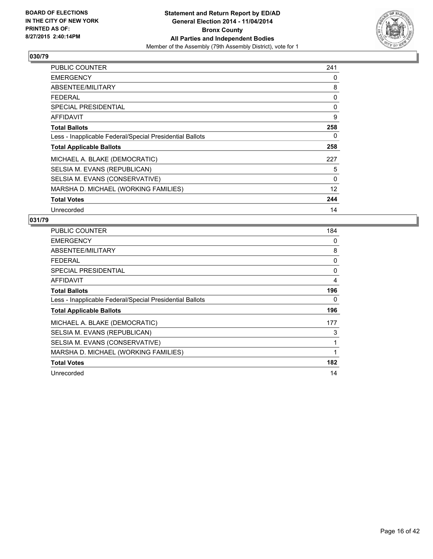

| PUBLIC COUNTER                                           | 241 |
|----------------------------------------------------------|-----|
| <b>EMERGENCY</b>                                         | 0   |
| ABSENTEE/MILITARY                                        | 8   |
| FEDERAL                                                  | 0   |
| <b>SPECIAL PRESIDENTIAL</b>                              | 0   |
| <b>AFFIDAVIT</b>                                         | 9   |
| <b>Total Ballots</b>                                     | 258 |
| Less - Inapplicable Federal/Special Presidential Ballots | 0   |
| <b>Total Applicable Ballots</b>                          | 258 |
| MICHAEL A. BLAKE (DEMOCRATIC)                            | 227 |
| SELSIA M. EVANS (REPUBLICAN)                             | 5   |
| SELSIA M. EVANS (CONSERVATIVE)                           | 0   |
| MARSHA D. MICHAEL (WORKING FAMILIES)                     | 12  |
| <b>Total Votes</b>                                       | 244 |
| Unrecorded                                               | 14  |

| <b>PUBLIC COUNTER</b>                                    | 184 |
|----------------------------------------------------------|-----|
| <b>EMERGENCY</b>                                         | 0   |
| ABSENTEE/MILITARY                                        | 8   |
| <b>FEDERAL</b>                                           | 0   |
| <b>SPECIAL PRESIDENTIAL</b>                              | 0   |
| AFFIDAVIT                                                | 4   |
| <b>Total Ballots</b>                                     | 196 |
| Less - Inapplicable Federal/Special Presidential Ballots | 0   |
| <b>Total Applicable Ballots</b>                          | 196 |
| MICHAEL A. BLAKE (DEMOCRATIC)                            | 177 |
| SELSIA M. EVANS (REPUBLICAN)                             | 3   |
| SELSIA M. EVANS (CONSERVATIVE)                           | 1   |
| MARSHA D. MICHAEL (WORKING FAMILIES)                     | 1   |
| <b>Total Votes</b>                                       | 182 |
| Unrecorded                                               | 14  |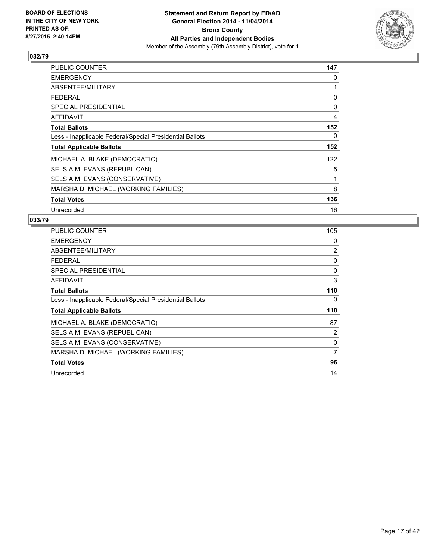

| PUBLIC COUNTER                                           | 147 |
|----------------------------------------------------------|-----|
| <b>EMERGENCY</b>                                         | 0   |
| ABSENTEE/MILITARY                                        | 1   |
| <b>FEDERAL</b>                                           | 0   |
| <b>SPECIAL PRESIDENTIAL</b>                              | 0   |
| AFFIDAVIT                                                | 4   |
| <b>Total Ballots</b>                                     | 152 |
| Less - Inapplicable Federal/Special Presidential Ballots | 0   |
| <b>Total Applicable Ballots</b>                          | 152 |
| MICHAEL A. BLAKE (DEMOCRATIC)                            | 122 |
| SELSIA M. EVANS (REPUBLICAN)                             | 5   |
| SELSIA M. EVANS (CONSERVATIVE)                           | 1   |
| MARSHA D. MICHAEL (WORKING FAMILIES)                     | 8   |
| <b>Total Votes</b>                                       | 136 |
| Unrecorded                                               | 16  |

| <b>PUBLIC COUNTER</b>                                    | 105 |
|----------------------------------------------------------|-----|
| <b>EMERGENCY</b>                                         | 0   |
| ABSENTEE/MILITARY                                        | 2   |
| <b>FEDERAL</b>                                           | 0   |
| <b>SPECIAL PRESIDENTIAL</b>                              | 0   |
| <b>AFFIDAVIT</b>                                         | 3   |
| <b>Total Ballots</b>                                     | 110 |
| Less - Inapplicable Federal/Special Presidential Ballots | 0   |
| <b>Total Applicable Ballots</b>                          | 110 |
| MICHAEL A. BLAKE (DEMOCRATIC)                            | 87  |
| SELSIA M. EVANS (REPUBLICAN)                             | 2   |
| SELSIA M. EVANS (CONSERVATIVE)                           | 0   |
| MARSHA D. MICHAEL (WORKING FAMILIES)                     | 7   |
| <b>Total Votes</b>                                       | 96  |
| Unrecorded                                               | 14  |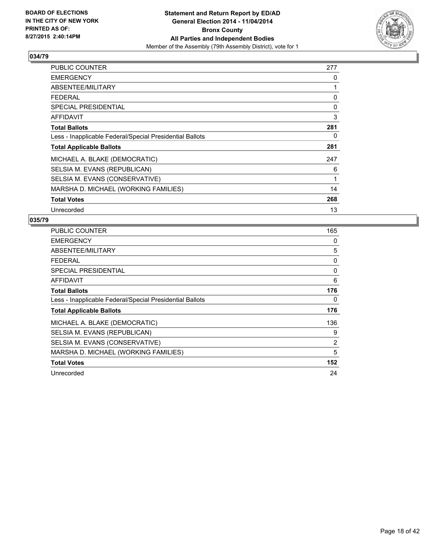

| PUBLIC COUNTER                                           | 277 |
|----------------------------------------------------------|-----|
| <b>EMERGENCY</b>                                         | 0   |
| ABSENTEE/MILITARY                                        | 1   |
| <b>FEDERAL</b>                                           | 0   |
| <b>SPECIAL PRESIDENTIAL</b>                              | 0   |
| <b>AFFIDAVIT</b>                                         | 3   |
| <b>Total Ballots</b>                                     | 281 |
| Less - Inapplicable Federal/Special Presidential Ballots | 0   |
| <b>Total Applicable Ballots</b>                          | 281 |
| MICHAEL A. BLAKE (DEMOCRATIC)                            | 247 |
| SELSIA M. EVANS (REPUBLICAN)                             | 6   |
| SELSIA M. EVANS (CONSERVATIVE)                           | 1   |
| MARSHA D. MICHAEL (WORKING FAMILIES)                     | 14  |
| <b>Total Votes</b>                                       | 268 |
| Unrecorded                                               | 13  |

| PUBLIC COUNTER                                           | 165 |
|----------------------------------------------------------|-----|
| <b>EMERGENCY</b>                                         | 0   |
| ABSENTEE/MILITARY                                        | 5   |
| <b>FEDERAL</b>                                           | 0   |
| <b>SPECIAL PRESIDENTIAL</b>                              | 0   |
| AFFIDAVIT                                                | 6   |
| <b>Total Ballots</b>                                     | 176 |
| Less - Inapplicable Federal/Special Presidential Ballots | 0   |
| <b>Total Applicable Ballots</b>                          | 176 |
| MICHAEL A. BLAKE (DEMOCRATIC)                            | 136 |
| SELSIA M. EVANS (REPUBLICAN)                             | 9   |
| SELSIA M. EVANS (CONSERVATIVE)                           | 2   |
| MARSHA D. MICHAEL (WORKING FAMILIES)                     | 5   |
| <b>Total Votes</b>                                       | 152 |
| Unrecorded                                               | 24  |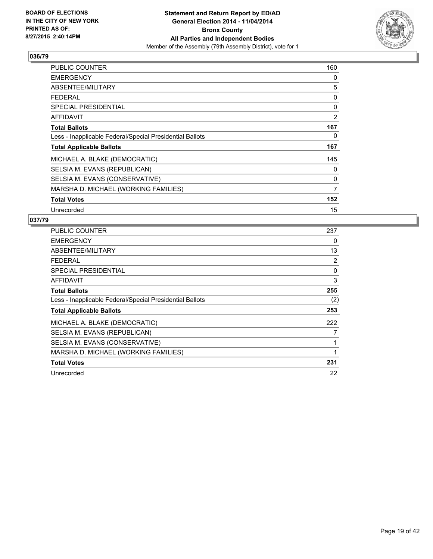

| <b>PUBLIC COUNTER</b>                                    | 160            |
|----------------------------------------------------------|----------------|
| <b>EMERGENCY</b>                                         | 0              |
| ABSENTEE/MILITARY                                        | 5              |
| <b>FEDERAL</b>                                           | 0              |
| <b>SPECIAL PRESIDENTIAL</b>                              | 0              |
| <b>AFFIDAVIT</b>                                         | 2              |
| <b>Total Ballots</b>                                     | 167            |
| Less - Inapplicable Federal/Special Presidential Ballots | 0              |
| <b>Total Applicable Ballots</b>                          | 167            |
| MICHAEL A. BLAKE (DEMOCRATIC)                            | 145            |
| SELSIA M. EVANS (REPUBLICAN)                             | 0              |
| SELSIA M. EVANS (CONSERVATIVE)                           | 0              |
| MARSHA D. MICHAEL (WORKING FAMILIES)                     | $\overline{7}$ |
| <b>Total Votes</b>                                       | 152            |
| Unrecorded                                               | 15             |

| PUBLIC COUNTER                                           | 237 |
|----------------------------------------------------------|-----|
| <b>EMERGENCY</b>                                         | 0   |
| ABSENTEE/MILITARY                                        | 13  |
| <b>FEDERAL</b>                                           | 2   |
| <b>SPECIAL PRESIDENTIAL</b>                              | 0   |
| AFFIDAVIT                                                | 3   |
| <b>Total Ballots</b>                                     | 255 |
| Less - Inapplicable Federal/Special Presidential Ballots | (2) |
| <b>Total Applicable Ballots</b>                          | 253 |
| MICHAEL A. BLAKE (DEMOCRATIC)                            | 222 |
| SELSIA M. EVANS (REPUBLICAN)                             | 7   |
| SELSIA M. EVANS (CONSERVATIVE)                           | 1   |
| MARSHA D. MICHAEL (WORKING FAMILIES)                     | 1   |
| <b>Total Votes</b>                                       | 231 |
| Unrecorded                                               | 22  |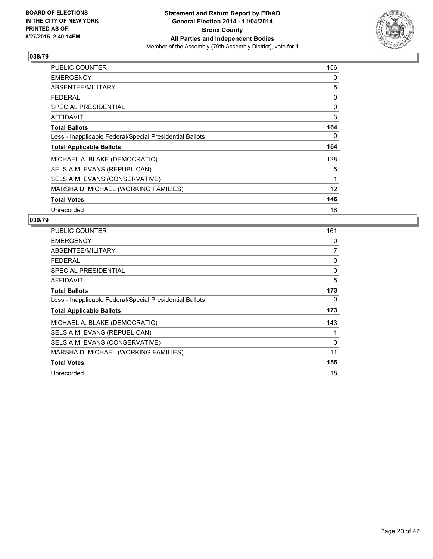

| <b>PUBLIC COUNTER</b>                                    | 156 |
|----------------------------------------------------------|-----|
| <b>EMERGENCY</b>                                         | 0   |
| ABSENTEE/MILITARY                                        | 5   |
| <b>FEDERAL</b>                                           | 0   |
| <b>SPECIAL PRESIDENTIAL</b>                              | 0   |
| AFFIDAVIT                                                | 3   |
| <b>Total Ballots</b>                                     | 164 |
| Less - Inapplicable Federal/Special Presidential Ballots | 0   |
| <b>Total Applicable Ballots</b>                          | 164 |
| MICHAEL A. BLAKE (DEMOCRATIC)                            | 128 |
| SELSIA M. EVANS (REPUBLICAN)                             | 5   |
| SELSIA M. EVANS (CONSERVATIVE)                           | 1   |
| MARSHA D. MICHAEL (WORKING FAMILIES)                     | 12  |
| <b>Total Votes</b>                                       | 146 |
| Unrecorded                                               | 18  |

| <b>PUBLIC COUNTER</b>                                    | 161 |
|----------------------------------------------------------|-----|
| <b>EMERGENCY</b>                                         | 0   |
| ABSENTEE/MILITARY                                        | 7   |
| <b>FEDERAL</b>                                           | 0   |
| SPECIAL PRESIDENTIAL                                     | 0   |
| AFFIDAVIT                                                | 5   |
| <b>Total Ballots</b>                                     | 173 |
| Less - Inapplicable Federal/Special Presidential Ballots | 0   |
| <b>Total Applicable Ballots</b>                          | 173 |
| MICHAEL A. BLAKE (DEMOCRATIC)                            | 143 |
| SELSIA M. EVANS (REPUBLICAN)                             | 1   |
| SELSIA M. EVANS (CONSERVATIVE)                           | 0   |
| MARSHA D. MICHAEL (WORKING FAMILIES)                     | 11  |
| <b>Total Votes</b>                                       | 155 |
| Unrecorded                                               | 18  |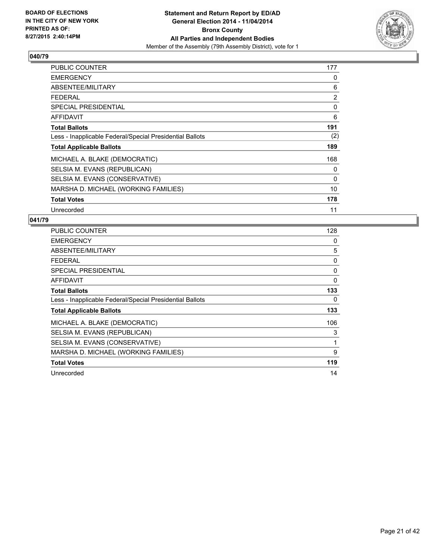

| <b>PUBLIC COUNTER</b>                                    | 177 |
|----------------------------------------------------------|-----|
| <b>EMERGENCY</b>                                         | 0   |
| ABSENTEE/MILITARY                                        | 6   |
| <b>FEDERAL</b>                                           | 2   |
| <b>SPECIAL PRESIDENTIAL</b>                              | 0   |
| AFFIDAVIT                                                | 6   |
| <b>Total Ballots</b>                                     | 191 |
| Less - Inapplicable Federal/Special Presidential Ballots | (2) |
| <b>Total Applicable Ballots</b>                          | 189 |
| MICHAEL A. BLAKE (DEMOCRATIC)                            | 168 |
| SELSIA M. EVANS (REPUBLICAN)                             | 0   |
| SELSIA M. EVANS (CONSERVATIVE)                           | 0   |
| MARSHA D. MICHAEL (WORKING FAMILIES)                     | 10  |
| <b>Total Votes</b>                                       | 178 |
| Unrecorded                                               | 11  |

| <b>PUBLIC COUNTER</b>                                    | 128 |
|----------------------------------------------------------|-----|
| <b>EMERGENCY</b>                                         | 0   |
| ABSENTEE/MILITARY                                        | 5   |
| <b>FEDERAL</b>                                           | 0   |
| SPECIAL PRESIDENTIAL                                     | 0   |
| AFFIDAVIT                                                | 0   |
| <b>Total Ballots</b>                                     | 133 |
| Less - Inapplicable Federal/Special Presidential Ballots | 0   |
| <b>Total Applicable Ballots</b>                          | 133 |
| MICHAEL A. BLAKE (DEMOCRATIC)                            | 106 |
| SELSIA M. EVANS (REPUBLICAN)                             | 3   |
| SELSIA M. EVANS (CONSERVATIVE)                           | 1   |
| MARSHA D. MICHAEL (WORKING FAMILIES)                     | 9   |
| <b>Total Votes</b>                                       | 119 |
| Unrecorded                                               | 14  |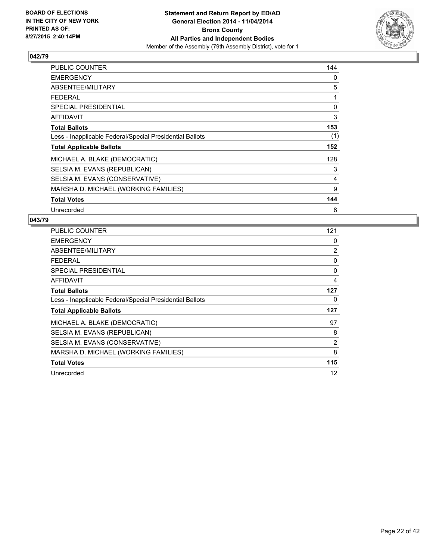

| PUBLIC COUNTER                                           | 144 |
|----------------------------------------------------------|-----|
| <b>EMERGENCY</b>                                         | 0   |
| ABSENTEE/MILITARY                                        | 5   |
| <b>FEDERAL</b>                                           | 1   |
| <b>SPECIAL PRESIDENTIAL</b>                              | 0   |
| <b>AFFIDAVIT</b>                                         | 3   |
| <b>Total Ballots</b>                                     | 153 |
| Less - Inapplicable Federal/Special Presidential Ballots | (1) |
| <b>Total Applicable Ballots</b>                          | 152 |
| MICHAEL A. BLAKE (DEMOCRATIC)                            | 128 |
| SELSIA M. EVANS (REPUBLICAN)                             | 3   |
| SELSIA M. EVANS (CONSERVATIVE)                           | 4   |
| MARSHA D. MICHAEL (WORKING FAMILIES)                     | 9   |
| <b>Total Votes</b>                                       | 144 |
| Unrecorded                                               | 8   |

| <b>PUBLIC COUNTER</b>                                    | 121 |
|----------------------------------------------------------|-----|
| <b>EMERGENCY</b>                                         | 0   |
| ABSENTEE/MILITARY                                        | 2   |
| <b>FEDERAL</b>                                           | 0   |
| <b>SPECIAL PRESIDENTIAL</b>                              | 0   |
| AFFIDAVIT                                                | 4   |
| <b>Total Ballots</b>                                     | 127 |
| Less - Inapplicable Federal/Special Presidential Ballots | 0   |
| <b>Total Applicable Ballots</b>                          | 127 |
| MICHAEL A. BLAKE (DEMOCRATIC)                            | 97  |
| SELSIA M. EVANS (REPUBLICAN)                             | 8   |
| SELSIA M. EVANS (CONSERVATIVE)                           | 2   |
| MARSHA D. MICHAEL (WORKING FAMILIES)                     | 8   |
| <b>Total Votes</b>                                       | 115 |
| Unrecorded                                               | 12  |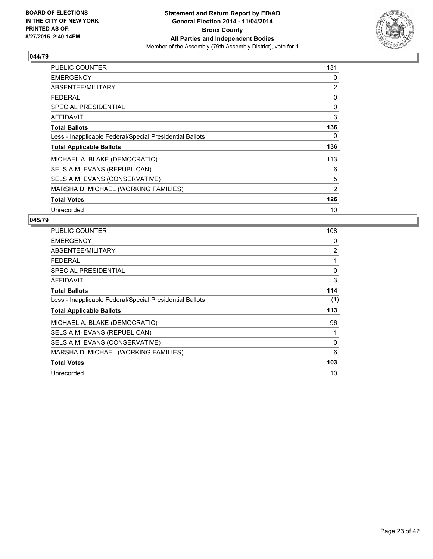

| PUBLIC COUNTER                                           | 131 |
|----------------------------------------------------------|-----|
| <b>EMERGENCY</b>                                         | 0   |
| ABSENTEE/MILITARY                                        | 2   |
| <b>FEDERAL</b>                                           | 0   |
| <b>SPECIAL PRESIDENTIAL</b>                              | 0   |
| <b>AFFIDAVIT</b>                                         | 3   |
| <b>Total Ballots</b>                                     | 136 |
| Less - Inapplicable Federal/Special Presidential Ballots | 0   |
| <b>Total Applicable Ballots</b>                          | 136 |
| MICHAEL A. BLAKE (DEMOCRATIC)                            | 113 |
| SELSIA M. EVANS (REPUBLICAN)                             | 6   |
| SELSIA M. EVANS (CONSERVATIVE)                           | 5   |
| MARSHA D. MICHAEL (WORKING FAMILIES)                     | 2   |
| <b>Total Votes</b>                                       | 126 |
| Unrecorded                                               | 10  |

| PUBLIC COUNTER                                           | 108 |
|----------------------------------------------------------|-----|
| <b>EMERGENCY</b>                                         | 0   |
| ABSENTEE/MILITARY                                        | 2   |
| <b>FEDERAL</b>                                           | 1   |
| <b>SPECIAL PRESIDENTIAL</b>                              | 0   |
| AFFIDAVIT                                                | 3   |
| <b>Total Ballots</b>                                     | 114 |
| Less - Inapplicable Federal/Special Presidential Ballots | (1) |
| <b>Total Applicable Ballots</b>                          | 113 |
| MICHAEL A. BLAKE (DEMOCRATIC)                            | 96  |
| SELSIA M. EVANS (REPUBLICAN)                             | 1   |
| SELSIA M. EVANS (CONSERVATIVE)                           | 0   |
| MARSHA D. MICHAEL (WORKING FAMILIES)                     | 6   |
| <b>Total Votes</b>                                       | 103 |
| Unrecorded                                               | 10  |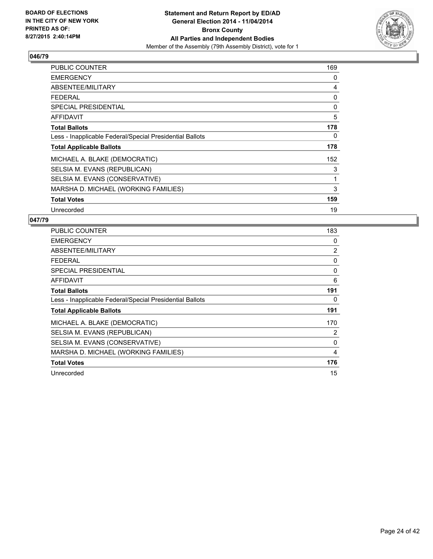

| <b>PUBLIC COUNTER</b>                                    | 169 |
|----------------------------------------------------------|-----|
| <b>EMERGENCY</b>                                         | 0   |
| ABSENTEE/MILITARY                                        | 4   |
| <b>FEDERAL</b>                                           | 0   |
| <b>SPECIAL PRESIDENTIAL</b>                              | 0   |
| AFFIDAVIT                                                | 5   |
| <b>Total Ballots</b>                                     | 178 |
| Less - Inapplicable Federal/Special Presidential Ballots | 0   |
| <b>Total Applicable Ballots</b>                          | 178 |
| MICHAEL A. BLAKE (DEMOCRATIC)                            | 152 |
| SELSIA M. EVANS (REPUBLICAN)                             | 3   |
| SELSIA M. EVANS (CONSERVATIVE)                           | 1   |
| MARSHA D. MICHAEL (WORKING FAMILIES)                     | 3   |
| <b>Total Votes</b>                                       | 159 |
| Unrecorded                                               | 19  |

| <b>PUBLIC COUNTER</b>                                    | 183 |
|----------------------------------------------------------|-----|
| <b>EMERGENCY</b>                                         | 0   |
| ABSENTEE/MILITARY                                        | 2   |
| <b>FEDERAL</b>                                           | 0   |
| <b>SPECIAL PRESIDENTIAL</b>                              | 0   |
| <b>AFFIDAVIT</b>                                         | 6   |
| <b>Total Ballots</b>                                     | 191 |
| Less - Inapplicable Federal/Special Presidential Ballots | 0   |
| <b>Total Applicable Ballots</b>                          | 191 |
| MICHAEL A. BLAKE (DEMOCRATIC)                            | 170 |
| SELSIA M. EVANS (REPUBLICAN)                             | 2   |
| SELSIA M. EVANS (CONSERVATIVE)                           | 0   |
| MARSHA D. MICHAEL (WORKING FAMILIES)                     | 4   |
| <b>Total Votes</b>                                       | 176 |
| Unrecorded                                               | 15  |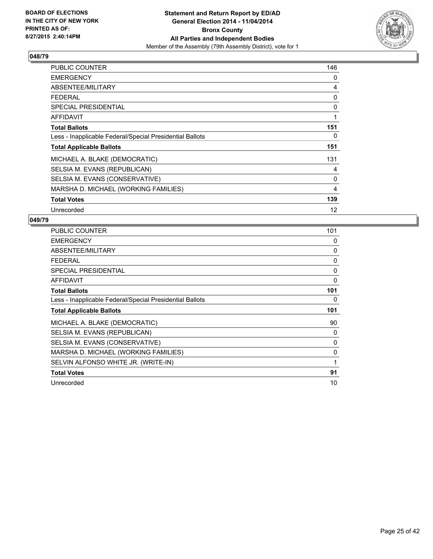

| PUBLIC COUNTER                                           | 146 |
|----------------------------------------------------------|-----|
| <b>EMERGENCY</b>                                         | 0   |
| ABSENTEE/MILITARY                                        | 4   |
| <b>FEDERAL</b>                                           | 0   |
| <b>SPECIAL PRESIDENTIAL</b>                              | 0   |
| <b>AFFIDAVIT</b>                                         | 1   |
| <b>Total Ballots</b>                                     | 151 |
| Less - Inapplicable Federal/Special Presidential Ballots | 0   |
| <b>Total Applicable Ballots</b>                          | 151 |
| MICHAEL A. BLAKE (DEMOCRATIC)                            | 131 |
| SELSIA M. EVANS (REPUBLICAN)                             | 4   |
| SELSIA M. EVANS (CONSERVATIVE)                           | 0   |
| MARSHA D. MICHAEL (WORKING FAMILIES)                     | 4   |
| <b>Total Votes</b>                                       | 139 |
| Unrecorded                                               | 12  |

| <b>PUBLIC COUNTER</b>                                    | 101      |
|----------------------------------------------------------|----------|
| <b>EMERGENCY</b>                                         | 0        |
| ABSENTEE/MILITARY                                        | 0        |
| <b>FEDERAL</b>                                           | $\Omega$ |
| <b>SPECIAL PRESIDENTIAL</b>                              | 0        |
| <b>AFFIDAVIT</b>                                         | $\Omega$ |
| <b>Total Ballots</b>                                     | 101      |
| Less - Inapplicable Federal/Special Presidential Ballots | 0        |
|                                                          |          |
| <b>Total Applicable Ballots</b>                          | 101      |
| MICHAEL A. BLAKE (DEMOCRATIC)                            | 90       |
| SELSIA M. EVANS (REPUBLICAN)                             | 0        |
| SELSIA M. EVANS (CONSERVATIVE)                           | $\Omega$ |
| MARSHA D. MICHAEL (WORKING FAMILIES)                     | 0        |
| SELVIN ALFONSO WHITE JR. (WRITE-IN)                      | 1        |
| <b>Total Votes</b>                                       | 91       |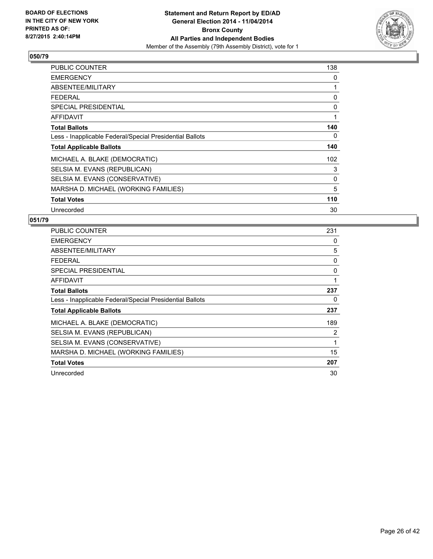

| PUBLIC COUNTER                                           | 138 |
|----------------------------------------------------------|-----|
| <b>EMERGENCY</b>                                         | 0   |
| ABSENTEE/MILITARY                                        | 1   |
| <b>FEDERAL</b>                                           | 0   |
| <b>SPECIAL PRESIDENTIAL</b>                              | 0   |
| <b>AFFIDAVIT</b>                                         | 1   |
| <b>Total Ballots</b>                                     | 140 |
| Less - Inapplicable Federal/Special Presidential Ballots | 0   |
| <b>Total Applicable Ballots</b>                          | 140 |
| MICHAEL A. BLAKE (DEMOCRATIC)                            | 102 |
| SELSIA M. EVANS (REPUBLICAN)                             | 3   |
| SELSIA M. EVANS (CONSERVATIVE)                           | 0   |
| MARSHA D. MICHAEL (WORKING FAMILIES)                     | 5   |
| <b>Total Votes</b>                                       | 110 |
| Unrecorded                                               | 30  |

| <b>PUBLIC COUNTER</b>                                    | 231 |
|----------------------------------------------------------|-----|
| <b>EMERGENCY</b>                                         | 0   |
| ABSENTEE/MILITARY                                        | 5   |
| <b>FEDERAL</b>                                           | 0   |
| <b>SPECIAL PRESIDENTIAL</b>                              | 0   |
| AFFIDAVIT                                                | 1   |
| <b>Total Ballots</b>                                     | 237 |
| Less - Inapplicable Federal/Special Presidential Ballots | 0   |
| <b>Total Applicable Ballots</b>                          | 237 |
| MICHAEL A. BLAKE (DEMOCRATIC)                            | 189 |
| SELSIA M. EVANS (REPUBLICAN)                             | 2   |
| SELSIA M. EVANS (CONSERVATIVE)                           | 1   |
| MARSHA D. MICHAEL (WORKING FAMILIES)                     | 15  |
| <b>Total Votes</b>                                       | 207 |
| Unrecorded                                               | 30  |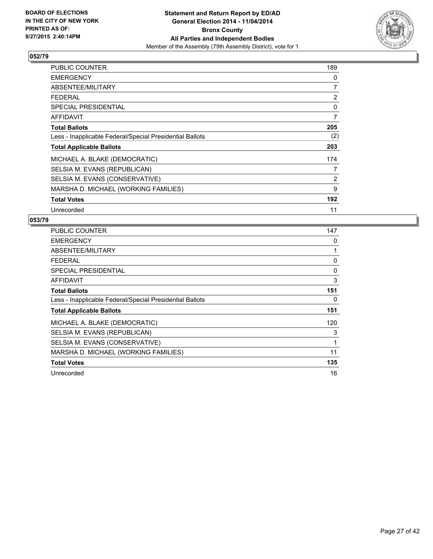

| PUBLIC COUNTER                                           | 189            |
|----------------------------------------------------------|----------------|
| <b>EMERGENCY</b>                                         | 0              |
| ABSENTEE/MILITARY                                        | 7              |
| <b>FEDERAL</b>                                           | 2              |
| <b>SPECIAL PRESIDENTIAL</b>                              | 0              |
| AFFIDAVIT                                                | $\overline{7}$ |
| <b>Total Ballots</b>                                     | 205            |
| Less - Inapplicable Federal/Special Presidential Ballots | (2)            |
| <b>Total Applicable Ballots</b>                          | 203            |
| MICHAEL A. BLAKE (DEMOCRATIC)                            | 174            |
| SELSIA M. EVANS (REPUBLICAN)                             | 7              |
| SELSIA M. EVANS (CONSERVATIVE)                           | 2              |
| MARSHA D. MICHAEL (WORKING FAMILIES)                     | 9              |
| <b>Total Votes</b>                                       | 192            |
| Unrecorded                                               | 11             |

| PUBLIC COUNTER                                           | 147 |
|----------------------------------------------------------|-----|
| <b>EMERGENCY</b>                                         | 0   |
| ABSENTEE/MILITARY                                        | 1   |
| <b>FEDERAL</b>                                           | 0   |
| <b>SPECIAL PRESIDENTIAL</b>                              | 0   |
| AFFIDAVIT                                                | 3   |
| <b>Total Ballots</b>                                     | 151 |
| Less - Inapplicable Federal/Special Presidential Ballots | 0   |
| <b>Total Applicable Ballots</b>                          | 151 |
| MICHAEL A. BLAKE (DEMOCRATIC)                            | 120 |
| SELSIA M. EVANS (REPUBLICAN)                             | 3   |
| SELSIA M. EVANS (CONSERVATIVE)                           | 1   |
| MARSHA D. MICHAEL (WORKING FAMILIES)                     | 11  |
| <b>Total Votes</b>                                       | 135 |
| Unrecorded                                               | 16  |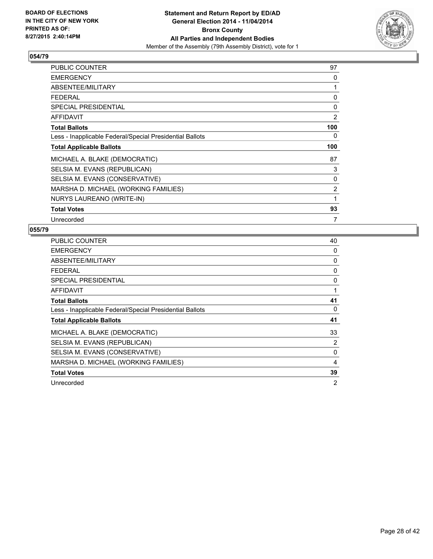

| <b>PUBLIC COUNTER</b>                                    | 97  |
|----------------------------------------------------------|-----|
| <b>EMERGENCY</b>                                         | 0   |
| ABSENTEE/MILITARY                                        | 1   |
| <b>FEDERAL</b>                                           | 0   |
| <b>SPECIAL PRESIDENTIAL</b>                              | 0   |
| <b>AFFIDAVIT</b>                                         | 2   |
| <b>Total Ballots</b>                                     | 100 |
| Less - Inapplicable Federal/Special Presidential Ballots | 0   |
| <b>Total Applicable Ballots</b>                          | 100 |
| MICHAEL A. BLAKE (DEMOCRATIC)                            | 87  |
| SELSIA M. EVANS (REPUBLICAN)                             | 3   |
| SELSIA M. EVANS (CONSERVATIVE)                           | 0   |
| MARSHA D. MICHAEL (WORKING FAMILIES)                     | 2   |
| NURYS LAUREANO (WRITE-IN)                                | 1   |
| <b>Total Votes</b>                                       | 93  |
| Unrecorded                                               | 7   |

| <b>PUBLIC COUNTER</b>                                    | 40 |
|----------------------------------------------------------|----|
| <b>EMERGENCY</b>                                         | 0  |
| ABSENTEE/MILITARY                                        | 0  |
| <b>FEDERAL</b>                                           | 0  |
| <b>SPECIAL PRESIDENTIAL</b>                              | 0  |
| <b>AFFIDAVIT</b>                                         | 1  |
| <b>Total Ballots</b>                                     | 41 |
| Less - Inapplicable Federal/Special Presidential Ballots | 0  |
| <b>Total Applicable Ballots</b>                          | 41 |
| MICHAEL A. BLAKE (DEMOCRATIC)                            | 33 |
| SELSIA M. EVANS (REPUBLICAN)                             | 2  |
| SELSIA M. EVANS (CONSERVATIVE)                           | 0  |
| MARSHA D. MICHAEL (WORKING FAMILIES)                     | 4  |
| <b>Total Votes</b>                                       | 39 |
| Unrecorded                                               | 2  |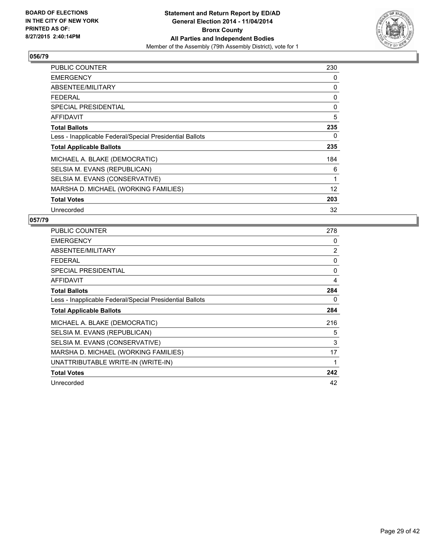

| PUBLIC COUNTER                                           | 230 |
|----------------------------------------------------------|-----|
| <b>EMERGENCY</b>                                         | 0   |
| ABSENTEE/MILITARY                                        | 0   |
| <b>FEDERAL</b>                                           | 0   |
| <b>SPECIAL PRESIDENTIAL</b>                              | 0   |
| <b>AFFIDAVIT</b>                                         | 5   |
| <b>Total Ballots</b>                                     | 235 |
| Less - Inapplicable Federal/Special Presidential Ballots | 0   |
| <b>Total Applicable Ballots</b>                          | 235 |
| MICHAEL A. BLAKE (DEMOCRATIC)                            | 184 |
| SELSIA M. EVANS (REPUBLICAN)                             | 6   |
| SELSIA M. EVANS (CONSERVATIVE)                           | 1   |
| MARSHA D. MICHAEL (WORKING FAMILIES)                     | 12  |
| <b>Total Votes</b>                                       | 203 |
| Unrecorded                                               | 32  |

| <b>PUBLIC COUNTER</b>                                    | 278            |
|----------------------------------------------------------|----------------|
| <b>EMERGENCY</b>                                         | 0              |
| ABSENTEE/MILITARY                                        | $\overline{2}$ |
| <b>FEDERAL</b>                                           | 0              |
| <b>SPECIAL PRESIDENTIAL</b>                              | 0              |
| <b>AFFIDAVIT</b>                                         | 4              |
| <b>Total Ballots</b>                                     | 284            |
| Less - Inapplicable Federal/Special Presidential Ballots | 0              |
| <b>Total Applicable Ballots</b>                          | 284            |
| MICHAEL A. BLAKE (DEMOCRATIC)                            | 216            |
| SELSIA M. EVANS (REPUBLICAN)                             | 5              |
| SELSIA M. EVANS (CONSERVATIVE)                           | 3              |
| MARSHA D. MICHAEL (WORKING FAMILIES)                     | 17             |
| UNATTRIBUTABLE WRITE-IN (WRITE-IN)                       | 1              |
| <b>Total Votes</b>                                       | 242            |
| Unrecorded                                               | 42             |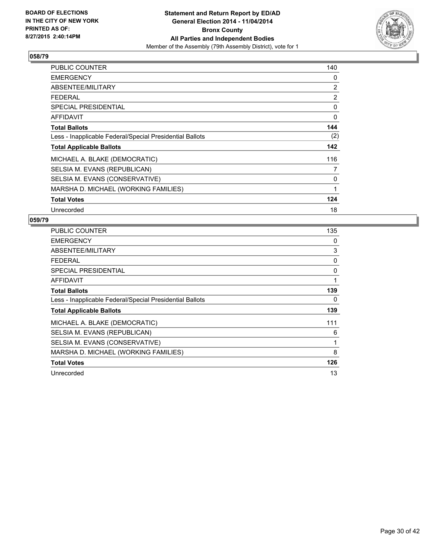

| PUBLIC COUNTER                                           | 140 |
|----------------------------------------------------------|-----|
| <b>EMERGENCY</b>                                         | 0   |
| ABSENTEE/MILITARY                                        | 2   |
| <b>FEDERAL</b>                                           | 2   |
| <b>SPECIAL PRESIDENTIAL</b>                              | 0   |
| <b>AFFIDAVIT</b>                                         | 0   |
| <b>Total Ballots</b>                                     | 144 |
| Less - Inapplicable Federal/Special Presidential Ballots | (2) |
| <b>Total Applicable Ballots</b>                          | 142 |
| MICHAEL A. BLAKE (DEMOCRATIC)                            | 116 |
| SELSIA M. EVANS (REPUBLICAN)                             | 7   |
| SELSIA M. EVANS (CONSERVATIVE)                           | 0   |
| MARSHA D. MICHAEL (WORKING FAMILIES)                     | 1   |
| <b>Total Votes</b>                                       | 124 |
| Unrecorded                                               | 18  |

| <b>PUBLIC COUNTER</b>                                    | 135 |
|----------------------------------------------------------|-----|
| <b>EMERGENCY</b>                                         | 0   |
| ABSENTEE/MILITARY                                        | 3   |
| <b>FEDERAL</b>                                           | 0   |
| SPECIAL PRESIDENTIAL                                     | 0   |
| <b>AFFIDAVIT</b>                                         | 1   |
| <b>Total Ballots</b>                                     | 139 |
| Less - Inapplicable Federal/Special Presidential Ballots | 0   |
| <b>Total Applicable Ballots</b>                          | 139 |
| MICHAEL A. BLAKE (DEMOCRATIC)                            | 111 |
| SELSIA M. EVANS (REPUBLICAN)                             | 6   |
| SELSIA M. EVANS (CONSERVATIVE)                           | 1   |
| MARSHA D. MICHAEL (WORKING FAMILIES)                     | 8   |
| <b>Total Votes</b>                                       | 126 |
| Unrecorded                                               | 13  |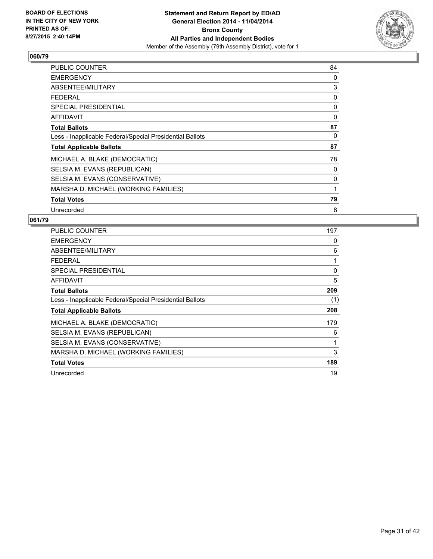

| PUBLIC COUNTER                                           | 84 |
|----------------------------------------------------------|----|
| <b>EMERGENCY</b>                                         | 0  |
| ABSENTEE/MILITARY                                        | 3  |
| <b>FEDERAL</b>                                           | 0  |
| <b>SPECIAL PRESIDENTIAL</b>                              | 0  |
| <b>AFFIDAVIT</b>                                         | 0  |
| <b>Total Ballots</b>                                     | 87 |
| Less - Inapplicable Federal/Special Presidential Ballots | 0  |
| <b>Total Applicable Ballots</b>                          | 87 |
| MICHAEL A. BLAKE (DEMOCRATIC)                            | 78 |
| SELSIA M. EVANS (REPUBLICAN)                             | 0  |
| SELSIA M. EVANS (CONSERVATIVE)                           | 0  |
| MARSHA D. MICHAEL (WORKING FAMILIES)                     | 1  |
| <b>Total Votes</b>                                       | 79 |
| Unrecorded                                               | 8  |

| PUBLIC COUNTER                                           | 197 |
|----------------------------------------------------------|-----|
| <b>EMERGENCY</b>                                         | 0   |
| ABSENTEE/MILITARY                                        | 6   |
| <b>FEDERAL</b>                                           | 1   |
| <b>SPECIAL PRESIDENTIAL</b>                              | 0   |
| AFFIDAVIT                                                | 5   |
| <b>Total Ballots</b>                                     | 209 |
| Less - Inapplicable Federal/Special Presidential Ballots | (1) |
| <b>Total Applicable Ballots</b>                          | 208 |
| MICHAEL A. BLAKE (DEMOCRATIC)                            | 179 |
| SELSIA M. EVANS (REPUBLICAN)                             | 6   |
| SELSIA M. EVANS (CONSERVATIVE)                           | 1   |
| MARSHA D. MICHAEL (WORKING FAMILIES)                     | 3   |
| <b>Total Votes</b>                                       | 189 |
| Unrecorded                                               | 19  |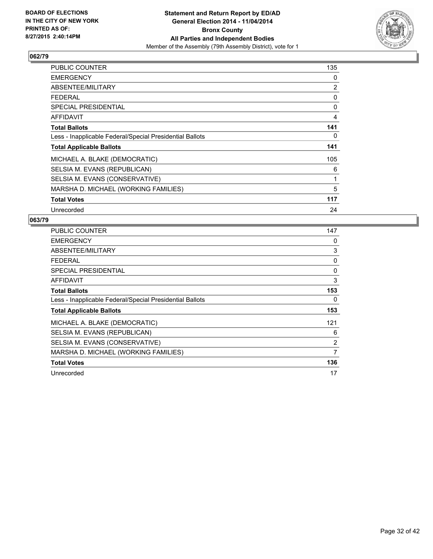

| PUBLIC COUNTER                                           | 135 |
|----------------------------------------------------------|-----|
| <b>EMERGENCY</b>                                         | 0   |
| ABSENTEE/MILITARY                                        | 2   |
| <b>FEDERAL</b>                                           | 0   |
| <b>SPECIAL PRESIDENTIAL</b>                              | 0   |
| AFFIDAVIT                                                | 4   |
| <b>Total Ballots</b>                                     | 141 |
| Less - Inapplicable Federal/Special Presidential Ballots | 0   |
| <b>Total Applicable Ballots</b>                          | 141 |
| MICHAEL A. BLAKE (DEMOCRATIC)                            | 105 |
| SELSIA M. EVANS (REPUBLICAN)                             | 6   |
| SELSIA M. EVANS (CONSERVATIVE)                           | 1   |
| MARSHA D. MICHAEL (WORKING FAMILIES)                     | 5   |
| <b>Total Votes</b>                                       | 117 |
| Unrecorded                                               | 24  |

| PUBLIC COUNTER                                           | 147 |
|----------------------------------------------------------|-----|
| <b>EMERGENCY</b>                                         | 0   |
| ABSENTEE/MILITARY                                        | 3   |
| <b>FEDERAL</b>                                           | 0   |
| <b>SPECIAL PRESIDENTIAL</b>                              | 0   |
| AFFIDAVIT                                                | 3   |
| <b>Total Ballots</b>                                     | 153 |
| Less - Inapplicable Federal/Special Presidential Ballots | 0   |
| <b>Total Applicable Ballots</b>                          | 153 |
| MICHAEL A. BLAKE (DEMOCRATIC)                            | 121 |
| SELSIA M. EVANS (REPUBLICAN)                             | 6   |
| SELSIA M. EVANS (CONSERVATIVE)                           | 2   |
| MARSHA D. MICHAEL (WORKING FAMILIES)                     | 7   |
| <b>Total Votes</b>                                       | 136 |
| Unrecorded                                               | 17  |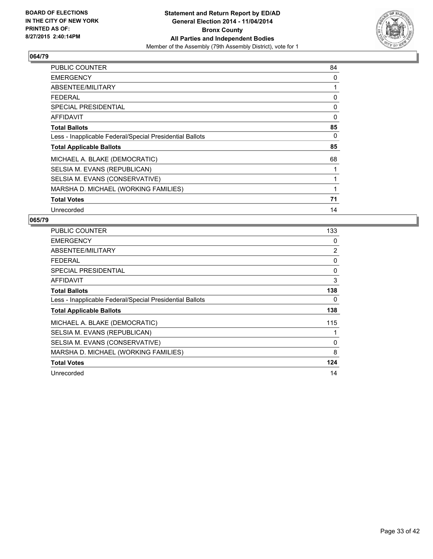

| PUBLIC COUNTER                                           | 84       |
|----------------------------------------------------------|----------|
| <b>EMERGENCY</b>                                         | 0        |
| ABSENTEE/MILITARY                                        | 1        |
| <b>FEDERAL</b>                                           | 0        |
| <b>SPECIAL PRESIDENTIAL</b>                              | 0        |
| <b>AFFIDAVIT</b>                                         | $\Omega$ |
| <b>Total Ballots</b>                                     | 85       |
| Less - Inapplicable Federal/Special Presidential Ballots | 0        |
| <b>Total Applicable Ballots</b>                          | 85       |
| MICHAEL A. BLAKE (DEMOCRATIC)                            | 68       |
| SELSIA M. EVANS (REPUBLICAN)                             | 1        |
| SELSIA M. EVANS (CONSERVATIVE)                           | 1        |
| MARSHA D. MICHAEL (WORKING FAMILIES)                     | 1        |
| <b>Total Votes</b>                                       | 71       |
| Unrecorded                                               | 14       |

| <b>PUBLIC COUNTER</b>                                    | 133            |
|----------------------------------------------------------|----------------|
| <b>EMERGENCY</b>                                         | 0              |
| ABSENTEE/MILITARY                                        | $\overline{2}$ |
| <b>FEDERAL</b>                                           | 0              |
| SPECIAL PRESIDENTIAL                                     | 0              |
| AFFIDAVIT                                                | 3              |
| <b>Total Ballots</b>                                     | 138            |
| Less - Inapplicable Federal/Special Presidential Ballots | 0              |
| <b>Total Applicable Ballots</b>                          | 138            |
| MICHAEL A. BLAKE (DEMOCRATIC)                            | 115            |
| SELSIA M. EVANS (REPUBLICAN)                             | 1              |
| SELSIA M. EVANS (CONSERVATIVE)                           | 0              |
| MARSHA D. MICHAEL (WORKING FAMILIES)                     | 8              |
| <b>Total Votes</b>                                       | 124            |
| Unrecorded                                               | 14             |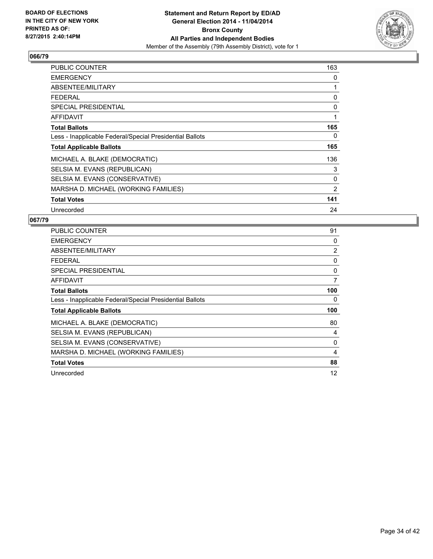

| PUBLIC COUNTER                                           | 163 |
|----------------------------------------------------------|-----|
| <b>EMERGENCY</b>                                         | 0   |
| ABSENTEE/MILITARY                                        | 1   |
| <b>FEDERAL</b>                                           | 0   |
| <b>SPECIAL PRESIDENTIAL</b>                              | 0   |
| AFFIDAVIT                                                | 1   |
| <b>Total Ballots</b>                                     | 165 |
| Less - Inapplicable Federal/Special Presidential Ballots | 0   |
| <b>Total Applicable Ballots</b>                          | 165 |
| MICHAEL A. BLAKE (DEMOCRATIC)                            | 136 |
| SELSIA M. EVANS (REPUBLICAN)                             | 3   |
| SELSIA M. EVANS (CONSERVATIVE)                           | 0   |
| MARSHA D. MICHAEL (WORKING FAMILIES)                     | 2   |
| <b>Total Votes</b>                                       | 141 |
| Unrecorded                                               | 24  |

| PUBLIC COUNTER                                           | 91             |
|----------------------------------------------------------|----------------|
| <b>EMERGENCY</b>                                         | 0              |
| ABSENTEE/MILITARY                                        | $\overline{2}$ |
| <b>FEDERAL</b>                                           | 0              |
| <b>SPECIAL PRESIDENTIAL</b>                              | 0              |
| AFFIDAVIT                                                | 7              |
| <b>Total Ballots</b>                                     | 100            |
| Less - Inapplicable Federal/Special Presidential Ballots | 0              |
| <b>Total Applicable Ballots</b>                          | 100            |
| MICHAEL A. BLAKE (DEMOCRATIC)                            | 80             |
| SELSIA M. EVANS (REPUBLICAN)                             | 4              |
| SELSIA M. EVANS (CONSERVATIVE)                           | 0              |
| MARSHA D. MICHAEL (WORKING FAMILIES)                     | 4              |
| <b>Total Votes</b>                                       | 88             |
| Unrecorded                                               | 12             |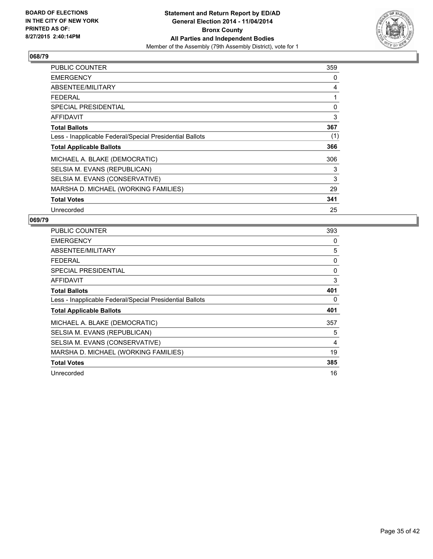

| <b>PUBLIC COUNTER</b>                                    | 359 |
|----------------------------------------------------------|-----|
| <b>EMERGENCY</b>                                         | 0   |
| ABSENTEE/MILITARY                                        | 4   |
| <b>FEDERAL</b>                                           | 1   |
| <b>SPECIAL PRESIDENTIAL</b>                              | 0   |
| AFFIDAVIT                                                | 3   |
| <b>Total Ballots</b>                                     | 367 |
| Less - Inapplicable Federal/Special Presidential Ballots | (1) |
| <b>Total Applicable Ballots</b>                          | 366 |
| MICHAEL A. BLAKE (DEMOCRATIC)                            | 306 |
| SELSIA M. EVANS (REPUBLICAN)                             | 3   |
| SELSIA M. EVANS (CONSERVATIVE)                           | 3   |
| MARSHA D. MICHAEL (WORKING FAMILIES)                     | 29  |
| <b>Total Votes</b>                                       | 341 |
| Unrecorded                                               | 25  |

| <b>PUBLIC COUNTER</b>                                    | 393 |
|----------------------------------------------------------|-----|
| <b>EMERGENCY</b>                                         | 0   |
| ABSENTEE/MILITARY                                        | 5   |
| <b>FEDERAL</b>                                           | 0   |
| SPECIAL PRESIDENTIAL                                     | 0   |
| AFFIDAVIT                                                | 3   |
| <b>Total Ballots</b>                                     | 401 |
| Less - Inapplicable Federal/Special Presidential Ballots | 0   |
| <b>Total Applicable Ballots</b>                          | 401 |
| MICHAEL A. BLAKE (DEMOCRATIC)                            | 357 |
| SELSIA M. EVANS (REPUBLICAN)                             | 5   |
| SELSIA M. EVANS (CONSERVATIVE)                           | 4   |
| MARSHA D. MICHAEL (WORKING FAMILIES)                     | 19  |
| <b>Total Votes</b>                                       | 385 |
| Unrecorded                                               | 16  |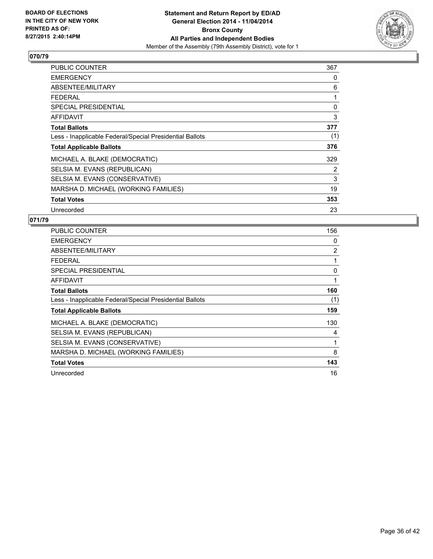

| PUBLIC COUNTER                                           | 367 |
|----------------------------------------------------------|-----|
| <b>EMERGENCY</b>                                         | 0   |
| ABSENTEE/MILITARY                                        | 6   |
| <b>FEDERAL</b>                                           | 1   |
| SPECIAL PRESIDENTIAL                                     | 0   |
| <b>AFFIDAVIT</b>                                         | 3   |
| <b>Total Ballots</b>                                     | 377 |
| Less - Inapplicable Federal/Special Presidential Ballots | (1) |
| <b>Total Applicable Ballots</b>                          | 376 |
| MICHAEL A. BLAKE (DEMOCRATIC)                            | 329 |
| SELSIA M. EVANS (REPUBLICAN)                             | 2   |
| SELSIA M. EVANS (CONSERVATIVE)                           | 3   |
| MARSHA D. MICHAEL (WORKING FAMILIES)                     | 19  |
| <b>Total Votes</b>                                       | 353 |
| Unrecorded                                               | 23  |

| <b>PUBLIC COUNTER</b>                                    | 156 |
|----------------------------------------------------------|-----|
| <b>EMERGENCY</b>                                         | 0   |
| ABSENTEE/MILITARY                                        | 2   |
| <b>FEDERAL</b>                                           | 1   |
| <b>SPECIAL PRESIDENTIAL</b>                              | 0   |
| <b>AFFIDAVIT</b>                                         | 1   |
| <b>Total Ballots</b>                                     | 160 |
| Less - Inapplicable Federal/Special Presidential Ballots | (1) |
| <b>Total Applicable Ballots</b>                          | 159 |
| MICHAEL A. BLAKE (DEMOCRATIC)                            | 130 |
| SELSIA M. EVANS (REPUBLICAN)                             | 4   |
| SELSIA M. EVANS (CONSERVATIVE)                           | 1   |
| MARSHA D. MICHAEL (WORKING FAMILIES)                     | 8   |
| <b>Total Votes</b>                                       | 143 |
| Unrecorded                                               | 16  |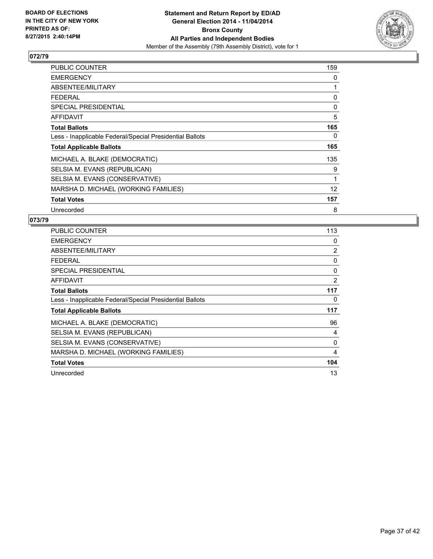

| PUBLIC COUNTER                                           | 159 |
|----------------------------------------------------------|-----|
| <b>EMERGENCY</b>                                         | 0   |
| ABSENTEE/MILITARY                                        | 1   |
| <b>FEDERAL</b>                                           | 0   |
| <b>SPECIAL PRESIDENTIAL</b>                              | 0   |
| AFFIDAVIT                                                | 5   |
| <b>Total Ballots</b>                                     | 165 |
| Less - Inapplicable Federal/Special Presidential Ballots | 0   |
| <b>Total Applicable Ballots</b>                          | 165 |
| MICHAEL A. BLAKE (DEMOCRATIC)                            | 135 |
| SELSIA M. EVANS (REPUBLICAN)                             | 9   |
| SELSIA M. EVANS (CONSERVATIVE)                           | 1   |
| MARSHA D. MICHAEL (WORKING FAMILIES)                     | 12  |
| <b>Total Votes</b>                                       | 157 |
| Unrecorded                                               | 8   |

| <b>PUBLIC COUNTER</b>                                    | 113 |
|----------------------------------------------------------|-----|
| <b>EMERGENCY</b>                                         | 0   |
| ABSENTEE/MILITARY                                        | 2   |
| <b>FEDERAL</b>                                           | 0   |
| <b>SPECIAL PRESIDENTIAL</b>                              | 0   |
| <b>AFFIDAVIT</b>                                         | 2   |
| <b>Total Ballots</b>                                     | 117 |
| Less - Inapplicable Federal/Special Presidential Ballots | 0   |
| <b>Total Applicable Ballots</b>                          | 117 |
| MICHAEL A. BLAKE (DEMOCRATIC)                            | 96  |
| SELSIA M. EVANS (REPUBLICAN)                             | 4   |
| SELSIA M. EVANS (CONSERVATIVE)                           | 0   |
| MARSHA D. MICHAEL (WORKING FAMILIES)                     | 4   |
| <b>Total Votes</b>                                       | 104 |
| Unrecorded                                               | 13  |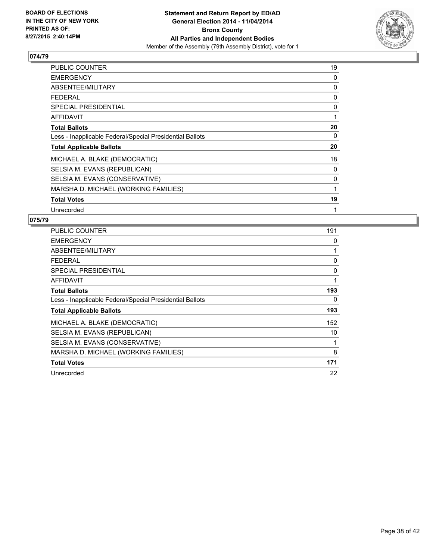

| PUBLIC COUNTER                                           | 19 |
|----------------------------------------------------------|----|
| <b>EMERGENCY</b>                                         | 0  |
| ABSENTEE/MILITARY                                        | 0  |
| <b>FEDERAL</b>                                           | 0  |
| <b>SPECIAL PRESIDENTIAL</b>                              | 0  |
| AFFIDAVIT                                                | 1  |
| <b>Total Ballots</b>                                     | 20 |
| Less - Inapplicable Federal/Special Presidential Ballots | 0  |
| <b>Total Applicable Ballots</b>                          | 20 |
| MICHAEL A. BLAKE (DEMOCRATIC)                            | 18 |
| SELSIA M. EVANS (REPUBLICAN)                             | 0  |
| SELSIA M. EVANS (CONSERVATIVE)                           | 0  |
| MARSHA D. MICHAEL (WORKING FAMILIES)                     | 1  |
| <b>Total Votes</b>                                       | 19 |
| Unrecorded                                               | 1  |

| <b>PUBLIC COUNTER</b>                                    | 191 |
|----------------------------------------------------------|-----|
| <b>EMERGENCY</b>                                         | 0   |
| ABSENTEE/MILITARY                                        | 1   |
| <b>FEDERAL</b>                                           | 0   |
| <b>SPECIAL PRESIDENTIAL</b>                              | 0   |
| <b>AFFIDAVIT</b>                                         | 1   |
| <b>Total Ballots</b>                                     | 193 |
| Less - Inapplicable Federal/Special Presidential Ballots | 0   |
| <b>Total Applicable Ballots</b>                          | 193 |
| MICHAEL A. BLAKE (DEMOCRATIC)                            | 152 |
| SELSIA M. EVANS (REPUBLICAN)                             | 10  |
| SELSIA M. EVANS (CONSERVATIVE)                           | 1   |
| MARSHA D. MICHAEL (WORKING FAMILIES)                     | 8   |
| <b>Total Votes</b>                                       | 171 |
| Unrecorded                                               | 22  |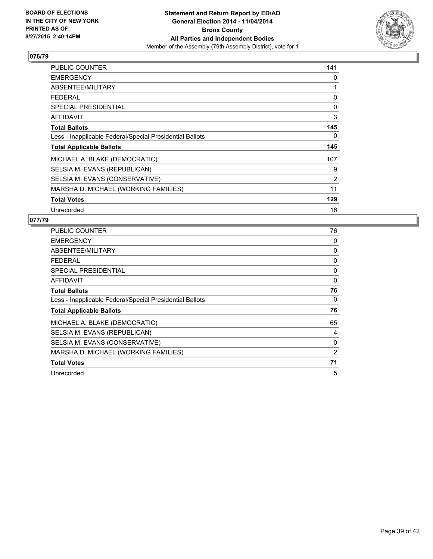

| PUBLIC COUNTER                                           | 141 |
|----------------------------------------------------------|-----|
| <b>EMERGENCY</b>                                         | 0   |
| ABSENTEE/MILITARY                                        | 1   |
| <b>FEDERAL</b>                                           | 0   |
| <b>SPECIAL PRESIDENTIAL</b>                              | 0   |
| <b>AFFIDAVIT</b>                                         | 3   |
| <b>Total Ballots</b>                                     | 145 |
| Less - Inapplicable Federal/Special Presidential Ballots | 0   |
| <b>Total Applicable Ballots</b>                          | 145 |
| MICHAEL A. BLAKE (DEMOCRATIC)                            | 107 |
| SELSIA M. EVANS (REPUBLICAN)                             | 9   |
| SELSIA M. EVANS (CONSERVATIVE)                           | 2   |
| MARSHA D. MICHAEL (WORKING FAMILIES)                     | 11  |
| <b>Total Votes</b>                                       | 129 |
| Unrecorded                                               | 16  |

| <b>PUBLIC COUNTER</b>                                    | 76 |
|----------------------------------------------------------|----|
| <b>EMERGENCY</b>                                         | 0  |
| ABSENTEE/MILITARY                                        | 0  |
| <b>FEDERAL</b>                                           | 0  |
| <b>SPECIAL PRESIDENTIAL</b>                              | 0  |
| <b>AFFIDAVIT</b>                                         | 0  |
| <b>Total Ballots</b>                                     | 76 |
| Less - Inapplicable Federal/Special Presidential Ballots | 0  |
| <b>Total Applicable Ballots</b>                          | 76 |
| MICHAEL A. BLAKE (DEMOCRATIC)                            | 65 |
| SELSIA M. EVANS (REPUBLICAN)                             | 4  |
| SELSIA M. EVANS (CONSERVATIVE)                           | 0  |
| MARSHA D. MICHAEL (WORKING FAMILIES)                     | 2  |
| <b>Total Votes</b>                                       | 71 |
| Unrecorded                                               | 5  |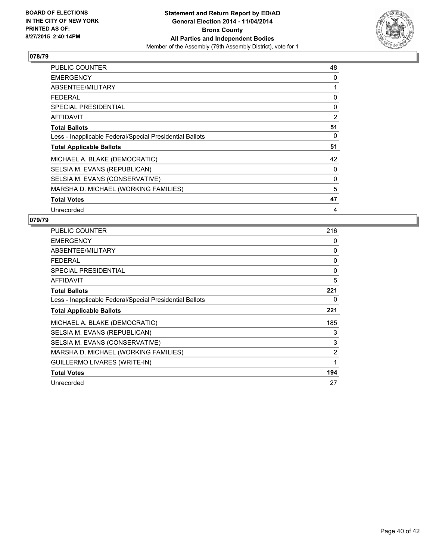

| PUBLIC COUNTER                                           | 48 |
|----------------------------------------------------------|----|
| <b>EMERGENCY</b>                                         | 0  |
| ABSENTEE/MILITARY                                        | 1  |
| <b>FEDERAL</b>                                           | 0  |
| <b>SPECIAL PRESIDENTIAL</b>                              | 0  |
| <b>AFFIDAVIT</b>                                         | 2  |
| <b>Total Ballots</b>                                     | 51 |
| Less - Inapplicable Federal/Special Presidential Ballots | 0  |
| <b>Total Applicable Ballots</b>                          | 51 |
| MICHAEL A. BLAKE (DEMOCRATIC)                            | 42 |
| SELSIA M. EVANS (REPUBLICAN)                             | 0  |
| SELSIA M. EVANS (CONSERVATIVE)                           | 0  |
| MARSHA D. MICHAEL (WORKING FAMILIES)                     | 5  |
| <b>Total Votes</b>                                       | 47 |
| Unrecorded                                               | 4  |

| <b>PUBLIC COUNTER</b>                                    | 216 |
|----------------------------------------------------------|-----|
| <b>EMERGENCY</b>                                         | 0   |
| ABSENTEE/MILITARY                                        | 0   |
| <b>FEDERAL</b>                                           | 0   |
| <b>SPECIAL PRESIDENTIAL</b>                              | 0   |
| <b>AFFIDAVIT</b>                                         | 5   |
| <b>Total Ballots</b>                                     | 221 |
| Less - Inapplicable Federal/Special Presidential Ballots | 0   |
| <b>Total Applicable Ballots</b>                          | 221 |
| MICHAEL A. BLAKE (DEMOCRATIC)                            | 185 |
| SELSIA M. EVANS (REPUBLICAN)                             | 3   |
| SELSIA M. EVANS (CONSERVATIVE)                           | 3   |
| MARSHA D. MICHAEL (WORKING FAMILIES)                     | 2   |
| GUILLERMO LIVARES (WRITE-IN)                             | 1   |
| <b>Total Votes</b>                                       | 194 |
| Unrecorded                                               | 27  |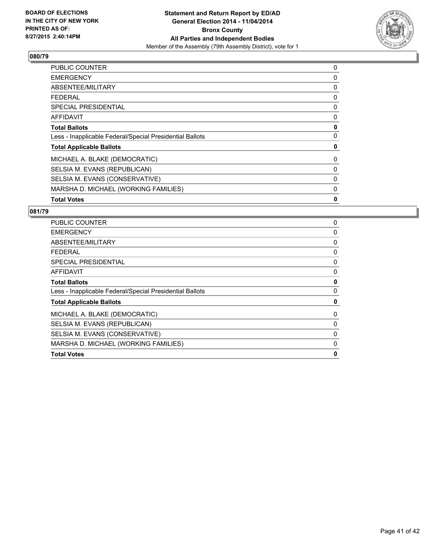

| <b>PUBLIC COUNTER</b>                                    | 0 |
|----------------------------------------------------------|---|
| <b>EMERGENCY</b>                                         | 0 |
| ABSENTEE/MILITARY                                        | 0 |
| <b>FEDERAL</b>                                           | 0 |
| <b>SPECIAL PRESIDENTIAL</b>                              | 0 |
| AFFIDAVIT                                                | 0 |
| <b>Total Ballots</b>                                     | 0 |
| Less - Inapplicable Federal/Special Presidential Ballots | 0 |
| <b>Total Applicable Ballots</b>                          | 0 |
| MICHAEL A. BLAKE (DEMOCRATIC)                            | 0 |
| SELSIA M. EVANS (REPUBLICAN)                             | 0 |
| SELSIA M. EVANS (CONSERVATIVE)                           | 0 |
| MARSHA D. MICHAEL (WORKING FAMILIES)                     | 0 |
| <b>Total Votes</b>                                       | 0 |

| <b>PUBLIC COUNTER</b>                                    | 0 |
|----------------------------------------------------------|---|
| <b>EMERGENCY</b>                                         | 0 |
| ABSENTEE/MILITARY                                        | 0 |
| <b>FEDERAL</b>                                           | 0 |
| <b>SPECIAL PRESIDENTIAL</b>                              | 0 |
| <b>AFFIDAVIT</b>                                         | 0 |
| <b>Total Ballots</b>                                     | 0 |
| Less - Inapplicable Federal/Special Presidential Ballots | 0 |
| <b>Total Applicable Ballots</b>                          | 0 |
| MICHAEL A. BLAKE (DEMOCRATIC)                            | 0 |
| SELSIA M. EVANS (REPUBLICAN)                             | 0 |
| SELSIA M. EVANS (CONSERVATIVE)                           | 0 |
| MARSHA D. MICHAEL (WORKING FAMILIES)                     | 0 |
| <b>Total Votes</b>                                       | 0 |